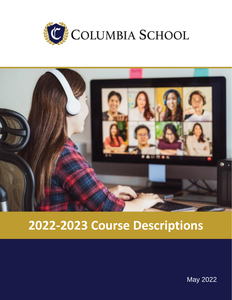



# **2022-2023 Course Descriptions**

May 2022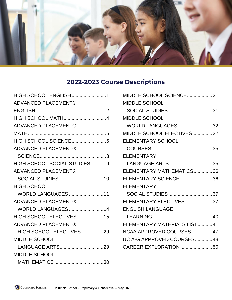

## **2022-2023 Course Descriptions**

| <b>HIGH SCHOOL ENGLISH1</b>    |
|--------------------------------|
| <b>ADVANCED PLACEMENT®</b>     |
|                                |
| HIGH SCHOOL MATH4              |
| <b>ADVANCED PLACEMENT®</b>     |
|                                |
|                                |
| <b>ADVANCED PLACEMENT®</b>     |
|                                |
| HIGH SCHOOL SOCIAL STUDIES 9   |
| <b>ADVANCED PLACEMENT®</b>     |
| SOCIAL STUDIES 10              |
| <b>HIGH SCHOOL</b>             |
| <b>WORLD LANGUAGES 11</b>      |
| <b>ADVANCED PLACEMENT®</b>     |
| <b>WORLD LANGUAGES 14</b>      |
| <b>HIGH SCHOOL ELECTIVES15</b> |
| <b>ADVANCED PLACEMENT®</b>     |
| HIGH SCHOOL ELECTIVES29        |
| <b>MIDDLE SCHOOL</b>           |
| LANGUAGE ARTS29                |
| <b>MIDDLE SCHOOL</b>           |
|                                |

| MIDDLE SCHOOL SCIENCE31      |
|------------------------------|
| <b>MIDDLE SCHOOL</b>         |
| SOCIAL STUDIES31             |
| <b>MIDDLE SCHOOL</b>         |
| WORLD LANGUAGES32            |
| MIDDLE SCHOOL ELECTIVES32    |
| ELEMENTARY SCHOOL            |
|                              |
| <b>ELEMENTARY</b>            |
| LANGUAGE ARTS 35             |
| ELEMENTARY MATHEMATICS36     |
| ELEMENTARY SCIENCE 36        |
| <b>ELEMENTARY</b>            |
| SOCIAL STUDIES37             |
| ELEMENTARY ELECTIVES 37      |
| <b>ENGLISH LANGUAGE</b>      |
|                              |
| ELEMENTARY MATERIALS LIST 41 |
| NCAA APPROVED COURSES 47     |
| UC A-G APPROVED COURSES 48   |
| CAREER EXPLORATION 50        |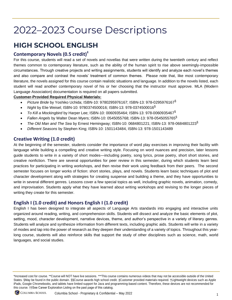# 2022–2023 Course Descriptions

## <span id="page-2-0"></span>**HIGH SCHOOL ENGLISH**

#### **Contemporary Novels (0.5 credit)‡**

For this course, students will read a set of novels and novellas that were written during the twentieth century and reflect themes common to contemporary literature, such as the ability of the human spirit to rise above seemingly-impossible circumstances. Through creative projects and writing assignments, students will identify and analyze each novel's themes and also compare and contrast the novels' treatment of common themes. Please note that, like most contemporary literature, the novels assigned for this course contain realistic situations and language. In addition to the novels listed, each student will read another contemporary novel of his or her choosing that the instructor must approve. MLA (Modern Language Association) documentation is required on all papers submitted.

#### **Customer-Provided Required Physical Materials:**

- *Picture Bride* by Yoshiko Uchida; ISBN-10: 9780295976167; ISBN-13: 978-0295976167§
- *Night* by Elie Weisel; ISBN-10: 9780374500016; ISBN-13: 978-0374500016§
- *To Kill a Mockingbird* by Harper Lee; ISBN-10: 0060935464; ISBN-13: 978-0060935467§
- *Fallen Angels* by Walter Dean Myers; ISBN-10: 0545055768; ISBN-13: 978-0545055765§
- *The Old Man and The Sea* by Ernest Hemingway; ISBN-10: 0684801221; ISBN-13: 978-0684801223§
- *Different Seasons* by Stephen King; ISBN-10: 1501143484, ISBN-13: 978-1501143489

#### **Creative Writing (1.0 credit)**

At the beginning of the semester, students consider the importance of word play exercises in improving their facility with language while building a compelling and creative writing style. Focusing on word nuances and precision, later lessons guide students to write in a variety of short modes—including poetry, song lyrics, prose poetry, short short stories, and creative nonfiction. There are several opportunities for peer review in this semester, during which students learn best practices for participating in writing workshops, and then revise their work using feedback from their peers. The second semester focuses on longer works of fiction: short stories, plays, and novels. Students learn basic techniques of plot and character development along with strategies for creating suspense and building a theme, and they have opportunities to write in several different genres. Lessons cover a few special topics as well, including graphic novels, animation, comedy, and improvisation. Students apply what they have learned about writing workshops and revising to the longer pieces of writing they create for this semester.

#### **English I (1.0 credit) and Honors English I (1.0 credit)**

English I has been designed to integrate all aspects of Language Arts standards into engaging and interactive units organized around reading, writing, and comprehension skills. Students will dissect and analyze the basic elements of plot, setting, mood, character development, narrative devices, theme, and author's perspective in a variety of literary genres. Students will analyze and synthesize information from different texts, including graphic aids. Students will write in a variety of modes and tap into the power of research as they deepen their understanding of a variety of topics. Throughout this yearlong course, students will also reinforce skills that support the study of other disciplines such as science, math, world languages, and social studies.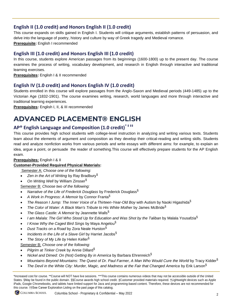#### **English II (1.0 credit) and Honors English II (1.0 credit)**

This course expands on skills gained in English I. Students will critique arguments, establish patterns of persuasion, and delve into the language of poetry, history and culture by way of Greek tragedy and Medieval romance. **Prerequisite:** English I recommended

#### **English III (1.0 credit) and Honors English III (1.0 credit)**

In this course, students explore American passages from its beginnings (1600-1800) up to the present day. The course examines the process of writing, vocabulary development, and research in English through interactive and traditional learning exercises.

**Prerequisites:** English I & II recommended

#### **English IV (1.0 credit) and Honors English IV (1.0 credit)**

Students enrolled in this course will explore passages from the Anglo-Saxon and Medieval periods (449-1485) up to the Victorian Age (1832-1901). The course examines writing, research, world languages and more through interactive and traditional learning experiences.

**Prerequisites:** English I, II, & III recommended

## <span id="page-3-0"></span>**ADVANCED PLACEMENT® ENGLISH**

## **AP® English Language and Composition (1.0 credit)\* ‡ ‡‡**

This course provides high school students with college-level instruction in analyzing and writing various texts. Students learn about the elements of argument and composition as they develop their critical-reading and writing skills. Students read and analyze nonfiction works from various periods and write essays with different aims: for example, to explain an idea, argue a point, or persuade the reader of something.This course will effectively prepare students for the AP English exam.

#### **Prerequisites:** English I & II

#### **Customer-Provided Required Physical Materials:**

Semester A: *Choose one of the following:*

- *Zen in the Art of Writing* by Ray Bradbury§
- *On Writing Well* by William Zinsser§

Semester B: *Choose two of the following:*

- *Narrative of the Life of Frederick Douglass* by Frederick Douglass§
- *A Work in Progress: A Memoir* by Connor Franta§
- *The Reason I Jump: The Inner Voice of a Thirteen-Year-Old Boy* with Autism by Naoki Higashida§
- *The Color of Water: A Black Man's Tribute to His White Mother* by James McBride§
- *The Glass Castle: A Memoir* by Jeannette Walls§
- *I am Malala: The Girl Who Stood Up for Education and Was Shot by the Taliban* by Malala Yousafzia§
- *I Know Why the Caged Bird Sings* by Maya Angelou§
- *Dust Tracks on a Road* by Zora Neale Hurston§
- *Incidents in the Life of a Slave Girl* by Harriet Jacobs§
- *The Story of My Life by* Helen Keller§

Semester B: *Choose one of the following:*

- *Pilgrim at Tinker Creek* by Annie Dillard§
- *Nickel and Dimed: On (Not) Getting By in America* by Barbara Ehrenreich§
- *Mountains Beyond Mountains: The Quest of Dr. Paul Farmer, A Man Who Would Cure the World* by Tracy Kidder§
- *The Devil in the White City: Murder, Magic, and Madness at the Fair that Changed America* by Erik Larson§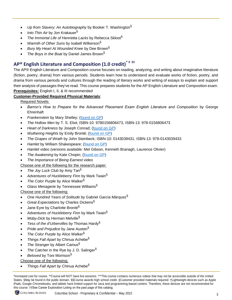- *Up from Slavery: An Autobiography* by Booker T. Washington§
- *Into Thin Air* by Jon Krakauer§
- *The Immortal Life of Henrietta Lacks* by Rebecca Skloot§
- *Warmth of Other Suns* by Isabell Wilkerson§
- *Bury My Heart At Wounded Knee* by Dee Brown§
- *The Boys in the Boat* by Daniel James Brown§

## **AP® English Literature and Composition (1.0 credit)\* ‡ ‡‡**

The AP® English Literature and Composition course focuses on reading, analyzing, and writing about imaginative literature (fiction, poetry, drama) from various periods. Students learn how to understand and evaluate works of fiction, poetry, and drama from various periods and cultures through the reading of literary works and writing of essays to explain and support their analysis of passages they've read. This course prepares students for the AP English Literature and Composition exam. **Prerequisites:** English I, II, & III recommended

#### **Customer-Provided Required Physical Materials**:

Required Novels:

- *Barron's How to Prepare for the Advanced Placement Exam English Literature and Composition* by George Ehrenhaft
- *Frankenstein* by Mary Shelley; [\(found on GP\)](https://www.gutenberg.org/ebooks/42324)
- *The Hollow Men* by T. S. Eliot; ISBN-10: 9780156806473, ISBN-13: 978-0156806473
- *Heart of Darkness* by Joseph Conrad; [\(found on GP\)](https://www.gutenberg.org/ebooks/219)
- *Wuthering Heights* by Emily Brontë; [\(found on GP\)](https://www.gutenberg.org/ebooks/768)
- *The Grapes of Wrath* by John Steinbeck; ISBN-10: 0143039431, ISBN-13: 978-0143039433
- *Hamlet* by William Shakespeare; [\(found on GP\)](https://www.gutenberg.org/ebooks/1524)
- *Hamlet* video (versions available: Mel Gibson, Kenneth Branagh, Laurence Olivier)
- *The Awakening* by Kate Chopin; [\(found on GP\)](https://www.gutenberg.org/ebooks/160)
- *The Importance of Being Earnest* video

Choose one of the following for the research paper:

- *The Joy Luck Club* by Amy Tan§
- *Adventures of Huckleberry Finn* by Mark Twain§
- *The Color Purple* by Alice Walker§
- *Glass Menagerie* by Tennessee Williams§

Choose one of the following:

- *One Hundred Years of Solitude* by Gabriel García Márquez§
- *Great Expectations* by Charles Dickens§
- Jane Eyre by Charlotte Brontë<sup>§</sup>
- *Adventures of Huckleberry Finn* by Mark Twain§
- *Moby-Dick* by Herman Melville§
- *Tess of the d'Urbervilles* by Thomas Hardy§
- *Pride and Prejudice* by Jane Austen§
- *The Color Purple* by Alice Walker§
- *Things Fall Apart* by Chinua Achebe§
- **The Stranger by Albert Camus<sup>§</sup>**
- The Catcher in the Rye by J. D. Salinger<sup>§</sup>
- *Beloved* by Toni Morrison§

Choose one of the following:

• *Things Fall Apart by* Chinua Achebe§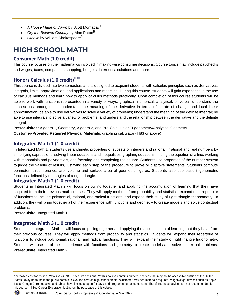- *A House Made of Dawn* by Scott Momaday§
- *Cry the Beloved Country* by Alan Paton§
- *Othello* by William Shakespeare§

## <span id="page-5-0"></span>**HIGH SCHOOL MATH**

#### **Consumer Math (1.0 credit)**

This course focuses on the mathematics involved in making wise consumer decisions. Course topics may include paychecks and wages, taxes, comparison shopping, budgets, interest calculations and more.

### **Honors Calculus (1.0 credit)‡ ‡‡**

This course is divided into two semesters and is designed to acquaint students with calculus principles such as derivatives, integrals, limits, approximation, and applications and modeling. During this course, students will gain experience in the use of calculus methods and learn how to apply calculus methods practically. Upon completion of this course students will be able to work with functions represented in a variety of ways: graphical, numerical, analytical, or verbal; understand the connections among these; understand the meaning of the derivative in terms of a rate of change and local linear approximation; be able to use derivatives to solve a variety of problems; understand the meaning of the definite integral; be able to use integrals to solve a variety of problems; and understand the relationship between the derivative and the definite integral.

**Prerequisites:** Algebra 1, Geometry, Algebra 2, and Pre-Calculus or Trigonometry/Analytical Geometry **Customer-Provided Required Physical Materials**: graphing calculator (TI83 or above)

#### **Integrated Math 1 (1.0 credit)**

In Integrated Math 1, students use arithmetic properties of subsets of integers and rational, irrational and real numbers by simplifying expressions, solving linear equations and inequalities, graphing equations, finding the equation of a line, working with monomials and polynomials, and factoring and completing the square. Students use properties of the number system to judge the validity of results, justifying each step of the procedure to prove or disprove statements. Students compute perimeter, circumference, are, volume and surface area of geometric figures. Students also use basic trigonometric functions defined by the angles of a right triangle.

#### **Integrated Math 2 (1.0 credit)**

Students in Integrated Math 2 will focus on pulling together and applying the accumulation of learning that they have acquired from their previous math courses. They will apply methods from probability and statistics; expand their repertoire of functions to include polynomial, rational, and radical functions; and expand their study of right triangle trigonometry. In addition, they will bring together all of their experience with functions and geometry to create models and solve contextual problems.

**Prerequisite:** Integrated Math 1

#### **Integrated Math 3 (1.0 credit)**

Students in Integrated Math III will focus on pulling together and applying the accumulation of learning that they have from their previous courses. They will apply methods from probability and statistics. Students will expand their repertoire of functions to include polynomial, rational, and radical functions. They will expand their study of right triangle trigonometry. Students will use all of their experience with functions and geometry to create models and solve contextual problems. **Prerequisite:** Integrated Math 2

<sup>\*</sup>Increased cost for course. \*\*Course will NOT have live sessions. \*\*\*This course contains numerous videos that may not be accessible outside of the United States. §May be found in the public domain. §§Course awards high school credit. ‡Customer provided materials required. †Lightweight devices such as Apple iPads, Google Chromebooks, and tablets have limited support for Java and programming-based content. Therefore, these devices are not recommended for this course. ††See Career Exploration Listing on the past page of this catalog.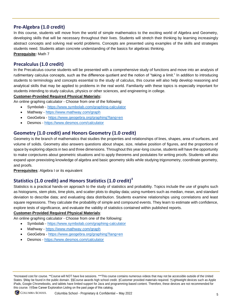#### **Pre-Algebra (1.0 credit)**

In this course, students will move from the world of simple mathematics to the exciting world of Algebra and Geometry, developing skills that will be necessary throughout their lives. Students will stretch their thinking by learning increasingly abstract concepts and solving real world problems. Concepts are presented using examples of the skills and strategies students need. Students attain concrete understanding of the basics for algebraic thinking. **Prerequisite:** Math 7

#### **Precalculus (1.0 credit)**

In the Precalculus course students will be presented with a comprehensive study of functions and move into an analysis of rudimentary calculus concepts, such as the difference quotient and the notion of "taking a limit." In addition to introducing students to terminology and concepts essential to the study of calculus, this course will also help develop reasoning and analytical skills that may be applied to problems in the real world. Familiarity with these topics is especially important for students intending to study calculus, physics or other sciences, and engineering in college.

#### **Customer-Provided Required Physical Materials:**

An online graphing calculator - Choose from one of the following:

- Symbolab <https://www.symbolab.com/graphing-calculator>
- Mathway <https://www.mathway.com/graph>
- GeoGebra <https://www.geogebra.org/graphing?lang=en>
- Desmos <https://www.desmos.com/calculator>

#### **Geometry (1.0 credit) and Honors Geometry (1.0 credit)**

Geometry is the branch of mathematics that studies the properties and relationships of lines, shapes, area of surfaces, and volume of solids. Geometry also answers questions about shape, size, relative position of figures, and the proportions of space by exploring objects in two and three dimensions. Throughout this year-long course, students will have the opportunity to make conjectures about geometric situations and to apply theorems and postulates for writing proofs. Students will also expand upon preexisting knowledge of algebra and basic geometry skills while studying trigonometry, coordinate geometry, and proofs.

**Prerequisites**: Algebra I or its equivalent

### **Statistics (1.0 credit) and Honors Statistics (1.0 credit)‡**

Statistics is a practical hands-on approach to the study of statistics and probability. Topics include the use of graphs such as histograms, stem plots, time plots, and scatter plots to display data; using numbers such as median, mean, and standard deviation to describe data; and evaluating data distribution. Students examine relationships using correlations and least square regressions. They calculate the probability of simple and compound events. They learn to estimate with confidence, explore tests of significance, and evaluate the validity of statistics contained within published reports.

#### **Customer-Provided Required Physical Materials**:

An online graphing calculator - Choose from one of the following:

- Symbolab <https://www.symbolab.com/graphing-calculator>
- Mathway <https://www.mathway.com/graph>
- GeoGebra <https://www.geogebra.org/graphing?lang=en>
- Desmos <https://www.desmos.com/calculator>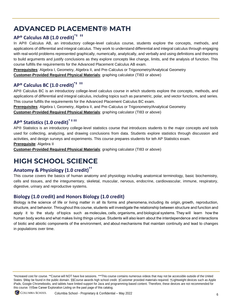## <span id="page-7-0"></span>**ADVANCED PLACEMENT® MATH**

## **AP® Calculus AB (1.0 credit)\*‡ ‡‡**

In AP® Calculus AB, an introductory college-level calculus course, students explore the concepts, methods, and applications of differential and integral calculus. They work to understand differential and integral calculus through engaging with real-world problems represented graphically, numerically, analytically, and verbally and using definitions and theorems to build arguments and justify conclusions as they explore concepts like change, limits, and the analysis of function. This course fulfills the requirements for the Advanced Placement Calculus AB exam.

**Prerequisites**: Algebra I, Geometry, Algebra II, and Pre-Calculus or Trigonometry/Analytical Geometry

**Customer-Provided Required Physical Materials**: graphing calculator (TI83 or above)

## **AP® Calculus BC (1.0 credit)\*‡ ‡‡**

AP® Calculus BC is an introductory college-level calculus course in which students explore the concepts, methods, and applications of differential and integral calculus, including topics such as parametric, polar, and vector functions, and series. This course fulfills the requirements for the Advanced Placement Calculus BC exam.

**Prerequisites**: Algebra I, Geometry, Algebra II, and Pre-Calculus or Trigonometry/Analytical Geometry **Customer-Provided Required Physical Materials**: graphing calculator (TI83 or above)

### **AP® Statistics (1.0 credit)\* ‡ ‡‡**

AP® Statistics is an introductory college-level statistics course that introduces students to the major concepts and tools used for collecting, analyzing, and drawing conclusions from data. Students explore statistics through discussion and activities, and design surveys and experiments. This course prepares students for teh AP Statistics exam. **Prerequisite**: Algebra II

**Customer-Provided Required Physical Materials**: graphing calculator (TI83 or above)

## <span id="page-7-1"></span>**HIGH SCHOOL SCIENCE**

### **Anatomy & Physiology (1.0 credit)††**

This course covers the basics of human anatomy and physiology including anatomical terminology, basic biochemistry, cells and tissues, and the integumentary, skeletal, muscular, nervous, endocrine, cardiovascular, immune, respiratory, digestive, urinary and reproductive systems.

### **Biology (1.0 credit) and Honors Biology (1.0 credit)**

Biology is the science of life or living matter in all its forms and phenomena, including its origin, growth, reproduction, structure, and behavior. Throughout this course, students will investigate the relationship between structure and function and apply it to the study of topics such as molecules, cells, organisms, and biological systems. They will learn how the human body works and what makes living things unique. Students will also learn about the interdependence and interactions of biotic and abiotic components of the environment, and about mechanisms that maintain continuity and lead to changes in populations over time.

<sup>\*</sup>Increased cost for course. \*\*Course will NOT have live sessions. \*\*\*This course contains numerous videos that may not be accessible outside of the United States. §May be found in the public domain. §§Course awards high school credit. ‡Customer provided materials required. †Lightweight devices such as Apple iPads, Google Chromebooks, and tablets have limited support for Java and programming-based content. Therefore, these devices are not recommended for this course. ††See Career Exploration Listing on the past page of this catalog.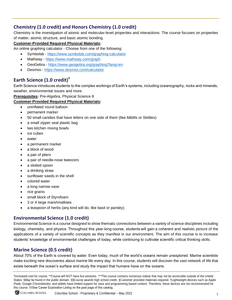### **Chemistry (1.0 credit) and Honors Chemistry (1.0 credit)**

Chemistry is the investigation of atomic and molecular-level properties and interactions. The course focuses on properties of matter, atomic structure, and basic atomic bonding.

#### **Customer-Provided Required Physical Materials:**

- An online graphing calculator Choose from one of the following:
	- Symbolab <https://www.symbolab.com/graphing-calculator>
	- Mathway <https://www.mathway.com/graph>
	- GeoGebra <https://www.geogebra.org/graphing?lang=en>
	- Desmos <https://www.desmos.com/calculator>

### **Earth Science (1.0 credit)‡**

Earth Science introduces students to the complex workings of Earth's systems, including oceanography, rocks and minerals, weather, environmental issues and more.

#### **Prerequisites:** Pre-Algebra, Physical Science 8

#### **Customer-Provided Required Physical Materials:**

- uninflated round balloon
- permanent marker
- 50 small candies that have letters on one side of them (like M&Ms or Skittles)
- a small zipper seal plastic bag
- two kitchen mixing bowls
- ice cubes
- water
- a permanent marker
- a block of wood
- a pair of pliers
- a pair of needle-nose tweezers
- a slotted spoon
- a drinking straw
- sunflower seeds in the shell
- colored water
- a long narrow vase
- rice grains
- small block of Styrofoam
- 3 or 4 large marshmallows
- a teaspoon of herbs (any kind will do, like basil or parsley)

#### **Environmental Science (1.0 credit)**

Environmental Science is a course designed to show thematic connections between a variety of science disciplines including biology, chemistry, and physics. Throughout this year-long course, students will gain a coherent and realistic picture of the applications of a variety of scientific concepts as they manifest in our environment. The aim of this course is to increase students' knowledge of environmental challenges of today, while continuing to cultivate scientific critical thinking skills.

#### **Marine Science (0.5 credit)**

About 70% of the Earth is covered by water. Even today, much of the world's oceans remain unexplored. Marine scientists make exciting new discoveries about marine life every day. In this course, students will discover the vast network of life that exists beneath the ocean's surface and study the impact that humans have on the oceans.

<sup>\*</sup>Increased cost for course. \*\*Course will NOT have live sessions. \*\*\*This course contains numerous videos that may not be accessible outside of the United States. §May be found in the public domain. §§Course awards high school credit. ‡Customer provided materials required. †Lightweight devices such as Apple iPads, Google Chromebooks, and tablets have limited support for Java and programming-based content. Therefore, these devices are not recommended for this course. ††See Career Exploration Listing on the past page of this catalog.

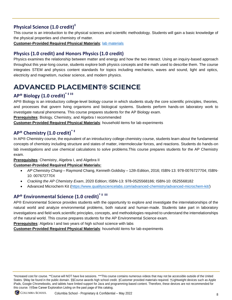## **Physical Science (1.0 credit)‡**

This course is an introduction to the physical sciences and scientific methodology. Students will gain a basic knowledge of the physical properties and chemistry of matter.

**Customer-Provided Required Physical Materials**: [lab materials](https://accelerate.education/catalog9_12/science/ae-physical-science/physical-science-lab-materials/)

### **Physics (1.0 credit) and Honors Physics (1.0 credit)**

Physics examines the relationship between matter and energy and how the two interact. Using an inquiry-based approach throughout this year-long course, students explore both physics concepts and the math used to describe them. The course integrates STEM and physics content standards for topics including mechanics, waves and sound, light and optics, electricity and magnetism, nuclear science, and modern physics.

## <span id="page-9-0"></span>**ADVANCED PLACEMENT® SCIENCE**

## **AP® Biology (1.0 credit)\* ‡ ‡‡**

AP® Biology is an introductory college-level biology course in which students study the core scientific principles, theories, and processes that govern living organisms and biological systems. Students perform hands-on laboratory work to investigate natural phenomena. This course prepares students for the AP Biology exam.

**Prerequisites**: Biology, Chemistry, and Algebra I recommended

**Customer-Provided Required Physical Materials**: household items for lab experiments

## **AP® Chemistry (1.0 credit)\* ‡**

In AP® Chemistry course, the equivalent of an introductory college chemistry course, students learn about the fundamental concepts of chemistry including structure and states of matter, intermolecular forces, and reactions. Students do hands-on lab investigations and use chemical calculations to solve problems.This course prepares students for the AP Chemistry exam.

**Prerequisites**: Chemistry, Algebra I, and Algebra II

#### **Customer-Provided Required Physical Materials:**

- *AP Chemistry Chang* Raymond Chang, Kenneth Goldsby 12th Edition, 2016; ISBN-13: 978-0076727704; ISBN-10: 007672770X
- *Cracking the AP Chemistry Exam*, 2020 Edition; ISBN-13: 978-0525568186; ISBN-10: 0525568182
- Advanced Microchem Kit [\(https://www.qualitysciencelabs.com/advanced-chemistry/advanced-microchem-kit/\)](https://www.qualitysciencelabs.com/advanced-chemistry/advanced-microchem-kit/)

## **AP® Environmental Science (1.0 credit)\* ‡ ‡‡**

AP® Environmental Science provides students with the opportunity to explore and investigate the interrelationships of the natural world and analyze environmental problems, both natural and human-made. Students take part in laboratory investigations and field work.scientific principles, concepts, and methodologies required to understand the interrelationships of the natural world. This course prepares students for the AP Environmental Science exam.

**Prerequisites**: Algebra I and two years of high school science with labs

**Customer-Provided Required Physical Materials**: household items for lab experiments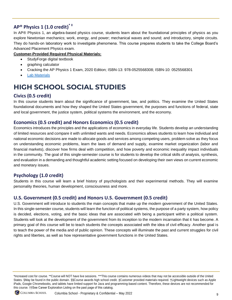## **AP® Physics 1 (1.0 credit) \* ‡**

In AP® Physics 1, an algebra-based physics course, students learn about the foundational principles of physics as you explore Newtonian mechanics; work, energy, and power; mechanical waves and sound; and introductory, simple circuits. They do hands-on laboratory work to investigate phenomena. This course prepares students to take the College Board's Advanced Placement Physics exam.

#### **Customer-Provided Required Physical Materials:**

- StudyForge digital textbook
- graphing calculator
- Cracking the AP Physics 1 Exam, 2020 Edition; ISBN-13: 978-0525568308; ISBN-10: 0525568301
- **[Lab Materials](https://accelerate.education/wp-content/uploads/2019/08/APPhysics_MaterialsInfo.pdf)**

## <span id="page-10-0"></span>**HIGH SCHOOL SOCIAL STUDIES**

#### **Civics (0.5 credit)**

In this course students learn about the significance of government, law, and politics. They examine the United States foundational documents and how they shaped the United States government, the purposes and functions of federal, state and local government, the justice system, political systems the environment, and the economy.

#### **Economics (0.5 credit) and Honors Economics (0.5 credit)**

Economics introduces the principles and the applications of economics in everyday life. Students develop an understanding of limited resources and compare it with unlimited wants and needs. Economics allows students to learn how individual and national economic decisions are made to allocate goods and services among competing users, problem solve as they focus on understanding economic problems, learn the laws of demand and supply, examine market organization (labor and financial markets), discover how firms deal with competition, and how poverty and economic inequality impact individuals in the community. The goal of this single-semester course is for students to develop the critical skills of analysis, synthesis, and evaluation in a demanding and thoughtful academic setting focused on developing their own views on current economic and monetary issues.

#### **Psychology (1.0 credit)**

Students in this course will learn a brief history of psychologists and their experimental methods. They will examine personality theories, human development, consciousness and more.

#### **U.S. Government (0.5 credit) and Honors U.S. Government (0.5 credit)**

U.S. Government will introduce to students the main concepts that make up the modern government of the United States. In this single-semester course, students will learn the function of political systems, the purpose of a party system, how policy is decided, elections, voting, and the basic ideas that are associated with being a participant within a political system. Students will look at the development of the government from its inception to the modern incarnation that it has become. A primary goal of this course will be to teach students the concepts associated with the idea of civil efficacy. Another goal is to teach the power of the media and of public opinion. These concepts will illuminate the past and current struggles for civil rights and liberties, as well as how representative government functions in the United States.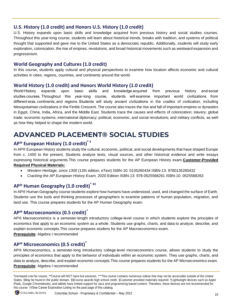#### **U.S. History (1.0 credit) and Honors U.S. History (1.0 credit)**

U.S. History expands upon basic skills and knowledge acquired from previous history and social studies courses. Throughout this year-long course, students will learn about historical trends, breaks with tradition, and systems of political thought that supported and gave rise to the United States as a democratic republic. Additionally, students will study early exploration, colonization, the rise of empires, revolutions, and broad historical movements such as westward expansion and progressivism.

#### **World Geography and Cultures (1.0 credit)**

In this course, students apply cultural and physical perspectives to examine how location affects economic and cultural activities in cities, regions, countries, and continents around the world.

#### **World History (1.0 credit) and Honors World History (1.0 credit)**

World History expands upon basic skills and knowledge acquired from previous history and social studies courses. Throughout this year-long course, students will examine important world civilizations from different eras, continents, and regions. Students will study ancient civilizations in the cradles of civilization, including Mesopotamian civilizations in the Fertile Crescent. The course also traces the rise and fall of important empires or dynasties in Egypt, China, India, Africa, and the Middle East. Students trace the causes and effects of colonization; slavery; global trade; economic systems; international diplomacy; political, economic, and social revolutions; and military conflicts, as well as how they helped to shape the modern world.

## <span id="page-11-0"></span>**ADVANCED PLACEMENT® SOCIAL STUDIES**

## **AP® European History (1.0 credit)\* ‡**

In AP® European History students study the cultural, economic, political, and social developments that have shaped Europe from c. 1450 to the present. Students analyze texts, visual sources, and other historical evidence and write essays expressing historical arguments.This course prepares students for the AP European History exam.**Customer-Provided Required Physical Materials:** 

- *Western Heritage, since 1300* (12th edition, eText) ISBN-10: 0135260434 ISBN-13: 9780135260432
- *Cracking the AP European History Exam,* 2020 Edition ISBN-13: 978-0525568261 ISBN-10: 0525568263

### **AP® Human Geography (1.0 credit)\* ‡‡**

In AP® Human Geography course students explore how humans have understood, used, and changed the surface of Earth. Students use the tools and thinking processes of geographers to examine patterns of human population, migration, and land use. This course prepares students for the AP Human Geography exam.

#### **AP® Macroeconomics (0.5 credit)\***

AP® Macroeconomics is a semester-length introductory college-level course in which students explore the principles of economics that apply to an economic system as a whole. Students use graphs, charts, and data to analyze, describe, and explain economic concepts.This course prepares studens for the AP Macroeconomics exam.

**Prerequisite**: Algebra I recommended

#### **AP® Microeconomics (0.5 credit)\***

AP® Microeconomics, a semester-long introductory college-level microeconomics course, allows students to study the principles of economics that apply to the behavior of individuals within an economic system. They use graphs, charts, and data to analyze, describe, and explain economic concepts.This course prepares students for the AP Microeconomics exam. **Prerequisite**: Algebra I recommended

<sup>\*</sup>Increased cost for course. \*\*Course will NOT have live sessions. \*\*\*This course contains numerous videos that may not be accessible outside of the United States. §May be found in the public domain. §§Course awards high school credit. ‡Customer provided materials required. †Lightweight devices such as Apple iPads, Google Chromebooks, and tablets have limited support for Java and programming-based content. Therefore, these devices are not recommended for this course. ††See Career Exploration Listing on the past page of this catalog.

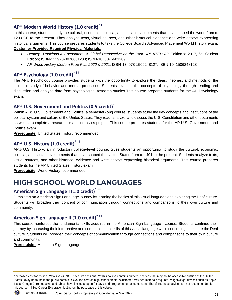## **AP® Modern World History (1.0 credit)\* ‡**

In this course, students study the cultural, economic, political, and social developments that have shaped the world from c. 1200 CE to the present. They analyze texts, visual sources, and other historical evidence and write essays expressing historical arguments. This course prepares students to take the College Board's Advanced Placement World History exam.

#### **Customer-Provided Required Physical Materials:**

- *Bentley, Traditions & Encounters: A Global Perspective on the Past UPDATED AP* Edition © 2017, 6e, Student Edition; ISBN-13: 978-0076681280; ISBN-10: 0076681289
- *AP World History Modern Prep Plus 2020 & 2021;* ISBN-13: 978-1506248127; ISBN-10: 1506248128

### **AP® Psychology (1.0 credit)\* ‡‡**

The AP® Psychology course provides students with the opportunity to explore the ideas, theories, and methods of the scientific study of behavior and mental processes. Students examine the concepts of psychology through reading and discussion and analyze data from psychological research studies.This course prepares students for the AP Psychology exam.

#### **AP® U.S. Government and Politics (0.5 credit)\***

Within AP® U.S. Government and Politics, a semester-long course, students study the key concepts and institutions of the political system and culture of the United States. They read, analyze, and discuss the U.S. Constitution and other documents as well as complete a research or applied civics project. This course prepares students for the AP U.S. Government and Politics exam.

**Prerequisite:** United States History recommended

### **AP® U.S. History (1.0 credit)\* ‡‡**

AP® U.S. History, an introductory college-level course, gives students an opportunity to study the cultural, economic, political, and social developments that have shaped the United States from c. 1491 to the present. Students analyze texts, visual sources, and other historical evidence and write essays expressing historical arguments. This course prepares students for the AP United States History exam.

**Prerequisite**: World History recommended

## <span id="page-12-0"></span>**HIGH SCHOOL WORLD LANGUAGES**

## **American Sign Language I (1.0 credit)\* ‡‡**

Jump start an American Sign Language journey by learning the basics of this visual language and exploring the Deaf culture. Students will broaden their concept of communication through connections and comparisons to their own culture and community.

#### **American Sign Language II (1.0 credit)\* ‡‡**

This course reinforces the fundamental skills acquired in the American Sign Language I course. Students continue their journey by increasing their interpretive and communication skills of this visual language while continuing to explore the Deaf culture. Students will broaden their concepts of communication through connections and comparisons to their own culture and community.

**Prerequisite:** American Sign Language I

<sup>\*</sup>Increased cost for course. \*\*Course will NOT have live sessions. \*\*\*This course contains numerous videos that may not be accessible outside of the United States. §May be found in the public domain. §§Course awards high school credit. ‡Customer provided materials required. †Lightweight devices such as Apple iPads, Google Chromebooks, and tablets have limited support for Java and programming-based content. Therefore, these devices are not recommended for this course. ††See Career Exploration Listing on the past page of this catalog.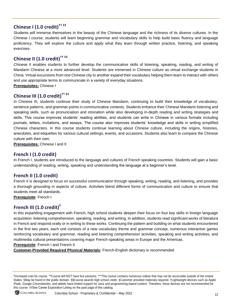## **Chinese I (1.0 credit)†† ‡‡**

Students will immerse themselves in the beauty of the Chinese language and the richness of its diverse cultures. In the Chinese I course; students will learn beginning grammar and vocabulary skills to help build basic fluency and language proficiency. They will explore the culture and apply what they learn through written practice, listening, and speaking exercises.

## **Chinese II (1.0 credit)†† ‡‡**

Chinese II enables students to further develop the communicative skills of listening, speaking, reading, and writing of Mandarin Chinese at a more advanced level. Students are immersed in Chinese culture as virtual exchange students in China. Virtual excursions from one Chinese city to another expand their vocabulary helping them learn to interact with others and use appropriate terms to communicate in a variety of everyday situations.

**Prerequisites:** Chinese I

## **Chinese III (1.0 credit)†† ‡‡**

In Chinese III, students continue their study of Chinese Mandarin, continuing to build their knowledge of vocabulary, sentence patterns, and grammar points in communicative contexts. Students enhance their Chinese Mandarin listening and speaking skills, such as pronunciation and intonation while also developing in-depth reading and writing strategies and skills. This course improves students' reading abilities, and students can write in Chinese in various formats including journals, letters, invitations, and essays. The course also improves students' knowledge and skills in writing simplified Chinese characters. In this course students continue learning about Chinese culture, including the origins, histories, anecdotes, and etiquettes for various cultural settings, events, and occasions. Students also learn to compare the Chinese culture with their own.

**Prerequisites:** Chinese I and II

#### **French I (1.0 credit)**

In French I, students are introduced to the language and cultures of French speaking countries. Students will gain a basic understanding of reading, writing, speaking and understanding the language at a beginner's level.

#### **French II (1.0 credit)**

French II is designed to focus on successful communication through speaking, writing, reading, and listening, and provides a thorough grounding in aspects of culture. Activities blend different forms of communication and culture to ensure that students meet all standards.

**Prerequisite**: French I

#### **French III (1.0 credit)‡**

In this expanding engagement with French, high school students deepen their focus on four key skills in foreign language acquisition: listening comprehension, speaking, reading, and writing. In addition, students read significant works of literature in French and respond orally or in writing to these works. Continuing the pattern and building on what students encountered in the first two years, each unit consists of a new vocabulary theme and grammar concept, numerous interactive games reinforcing vocabulary and grammar, reading and listening comprehension activities, speaking and writing activities, and multimedia cultural presentations covering major French-speaking areas in Europe and the Americas.

**Prerequisite**: French I and French II

**Customer-Provided Required Physical Materials:** French-English dictionary is recommended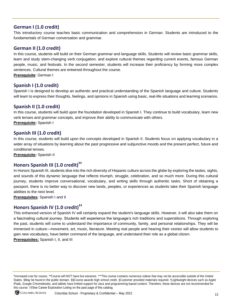#### **German I (1.0 credit)**

This introductory course teaches basic communication and comprehension in German. Students are introduced to the fundamentals of German conversation and grammar.

#### **German II (1.0 credit)**

In this course, students will build on their German grammar and language skills. Students will review basic grammar skills, learn and study stem-changing verb conjugation, and explore cultural themes regarding current events, famous German people, music, and festivals. In the second semester, students will increase their proficiency by forming more complex sentences. Cultural themes are entwined throughout the course.

**Prerequisite**: German I

#### **Spanish I (1.0 credit)**

Spanish I is designed to develop an authentic and practical understanding of the Spanish language and culture. Students will learn to express their thoughts, feelings, and opinions in Spanish using basic, real-life situations and learning scenarios.

#### **Spanish II (1.0 credit)**

In this course, students will build upon the foundation developed in Spanish I. They continue to build vocabulary, learn new verb tenses and grammar concepts, and improve their ability to communicate with others.

**Prerequisite:** Spanish I

#### **Spanish III (1.0 credit)**

In this course, students will build upon the concepts developed in Spanish II. Students focus on applying vocabulary in a wider array of situations by learning about the past progressive and subjunctive moods and the present perfect, future and conditional tenses.

**Prerequisite:** Spanish II

#### **Honors Spanish III (1.0 credit)‡‡**

In Honors Spanish III, students dive into the rich diversity of Hispanic culture across the globe by exploring the tastes, sights, and sounds of this dynamic language that reflects triumph, struggle, celebration, and so much more. During this cultural journey, students improve conversational, vocabulary, and writing skills through authentic tasks. Short of obtaining a passport, there is no better way to discover new lands, peoples, or experiences as students take their Spanish language abilities to the next level.

**Prerequisites**: Spanish I and II

## **Honors Spanish IV (1.0 credit)‡‡**

This enhanced version of Spanish IV will certainly expand the student's language skills. However, it will also take them on a fascinating cultural journey. Students will experience the language's rich traditions and superstitions. Through exploring the past, students will come to understand the importance of community, family, and personal relationships. They will be immersed in culture—movement, art, music, literature. Meeting real people and hearing their stories will allow students to gain new vocabulary, have better command of the language, and understand their role as a global citizen. **Prerequisites:** Spanish I, II, and III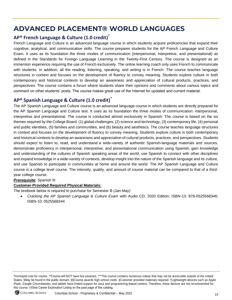## <span id="page-15-0"></span>**ADVANCED PLACEMENT® WORLD LANGUAGES**

#### **AP® French Language & Culture (1.0 credit)\***

French Language and Culture is an advanced language course in which students acquire proficiencies that expand their cognitive, analytical, and communicative skills. The course prepares students for the AP French Language and Culture Exam. It uses as its foundation the three modes of communication (interpersonal, interpretive, and presentational) as defined in the Standards for Foreign Language Learning in the Twenty-First Century. The course is designed as an immersion experience requiring the use of French exclusively. The online learning coach only uses French to communicate with students. In addition, all the reading, listening, speaking, and writing is in French. The course teaches language structures in context and focuses on the development of fluency to convey meaning. Students explore culture in both contemporary and historical contexts to develop an awareness and appreciation of cultural products, practices, and perspectives. The course contains a forum where students share their opinions and comments about various topics and comment on other students' posts. The course makes great use of the Internet for updated and current material.

#### **AP® Spanish Language & Culture (1.0 credit)\***

The AP Spanish Language and Culture course is an advanced language course in which students are directly prepared for the AP Spanish Language and Culture test. It uses as its foundation the three modes of communication: interpersonal, interpretive and presentational. The course is conducted almost exclusively in Spanish. The course is based on the six themes required by the College Board: (1) global challenges, (2) science and technology, (3) contemporary life, (4) personal and public identities, (5) families and communities, and (6) beauty and aesthetics. The course teaches language structures in context and focuses on the development of fluency to convey meaning. Students explore culture in both contemporary and historical contexts to develop an awareness and appreciation of cultural products, practices, and perspectives. Students should expect to listen to, read, and understand a wide-variety of authentic Spanish-language materials and sources, demonstrate proficiency in interpersonal, interpretive, and presentational communication using Spanish, gain knowledge and understanding of the cultures of Spanish speaking areas of the world, use Spanish to connect with other disciplines and expand knowledge in a wide-variety of contexts, develop insight into the nature of the Spanish language and its culture, and use Spanish to participate in communities at home and around the world. The AP Spanish Language and Culture course is a college level course. The intensity, quality, and amount of course material can be compared to that of a thirdyear college course.

#### **Prerequisite**: Spanish III

#### **Customer-Provided Required Physical Materials:**

The textbook below is required to purchase for Semester B (Jan-May)

• *Cracking the AP Spanish Language & Culture Exam* with Audio CD, 2020 Edition; ISBN-13: 978-0525568346; ISBN-10: 0525568344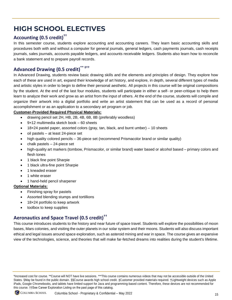## <span id="page-16-0"></span>**HIGH SCHOOL ELECTIVES**

## **Accounting (0.5 credit)††**

In this semester course, students explore accounting and accounting careers. They learn basic accounting skills and procedures both with and without a computer for general journals, general ledgers, cash payments journals, cash receipts journals, sales journals, accounts payable ledgers, and accounts receivable ledgers. Students also learn how to reconcile a bank statement and to prepare payroll records.

## Advanced Drawing (0.5 credit)<sup>\*\* ‡</sup><sup>\*\*</sup>

In Advanced Drawing, students review basic drawing skills and the elements and principles of design. They explore how each of these are used in art, expand their knowledge of art history, and explore, in depth, several different types of media and artistic styles in order to begin to define their personal aesthetic. All projects in this course will be original compositions by the student. At the end of the last four modules, students will participate in either a self- or peer-critique to help them learn to analyze their work and grow as an artist from the input of others. At the end of the course, students will compile and organize their artwork into a digital portfolio and write an artist statement that can be used as a record of personal accomplishment or as an application to a secondary art program or job.

#### **Customer-Provided Required Physical Materials:**

- drawing pencil set 2H, HB, 2B, 4B, 6B, 8B (preferably woodless)
- $9x12$  multimedia sketch book  $-60$  sheets
- $18\times24$  pastel paper, assorted colors (gray, tan, black, and burnt umber) 10 sheets
- oil pastels at least 24-piece set
- high quality colored pencils 36-piece set (recommend Prismacolor brand or similar quality)
- chalk pastels  $-24$ -piece set
- high-quality art markers (tombow, Prismacolor, or similar brand) water based or alcohol based primary colors and flesh tones
- 1 black fine point Sharpie
- 1 black ultra-fine point Sharpie
- 1 kneaded eraser
- 1 white eraser
- 1 hand-held pencil sharpener

#### **Optional Materials:**

- Finishing spray for pastels
- Assorted blending stumps and tortillions
- 18×24 portfolio to keep artwork
- toolbox to keep supplies

## **Aeronautics and Space Travel (0.5 credit)††**

This course introduces students to the history and near future of space travel. Students will explore the possibilities of moon bases, Mars colonies, and visiting the outer planets in our solar system and their moons. Students will also discuss important ethical and legal issues around space exploration, such as asteroid mining and war in space. The course gives an expansive view of the technologies, science, and theories that will make far-fetched dreams into realities during the student's lifetime.

<sup>\*</sup>Increased cost for course. \*\*Course will NOT have live sessions. \*\*\*This course contains numerous videos that may not be accessible outside of the United States. §May be found in the public domain. §§Course awards high school credit. ‡Customer provided materials required. †Lightweight devices such as Apple iPads, Google Chromebooks, and tablets have limited support for Java and programming-based content. Therefore, these devices are not recommended for this course. ††See Career Exploration Listing on the past page of this catalog.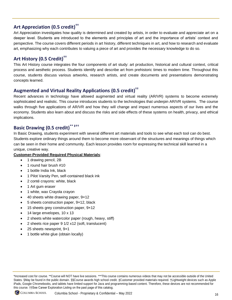### **Art Appreciation (0.5 credit)††**

Art Appreciation investigates how quality is determined and created by artists, in order to evaluate and appreciate art on a deeper level. Students are introduced to the elements and principles of art and the importance of artists' context and perspective. The course covers different periods in art history, different techniques in art, and how to research and evaluate art, emphasizing why each contributes to valuing a piece of art and provides the necessary knowledge to do so.

### **Art History (0.5 Credit)††**

This Art History course integrates the four components of art study: art production, historical and cultural context, critical process and aesthetic process. Students identify and describe art from prehistoric times to modern time. Throughout this course, students discuss various artworks, research artists, and create documents and presentations demonstrating concepts learned.

## **Augmented and Virtual Reality Applications (0.5 credit)††**

Recent advances in technology have allowed augmented and virtual reality (AR/VR) systems to become extremely sophisticated and realistic. This course introduces students to the technologies that underpin AR/VR systems. The course walks through five applications of AR/VR and how they will change and impact numerous aspects of our lives and the economy. Students also learn about and discuss the risks and side effects of these systems on health, privacy, and ethical implications.

#### **Basic Drawing (0.5 credit)<sup>\*</sup>**

In Basic Drawing, students experiment with several different art materials and tools to see what each tool can do best. Students explore ordinary things around them to become more observant of the structures and meanings of things which can be seen in their home and community. Each lesson provides room for expressing the technical skill learned in a unique, creative way.

#### **Customer-Provided Required Physical Materials**:

- 1 drawing pencil, 2B
- 1 round hair brush #10
- 1 bottle India Ink, black
- 1 Pilot Varsity Pen, self-contained black ink
- 2 conté crayons: white, black
- 1 Art gum eraser
- 1 white, wax Crayola crayon
- 40 sheets white drawing paper, 9×12
- 5 sheets construction paper, 9×12, black
- 15 sheets grey construction paper, 9x12
- 14 large envelopes, 10 x 13
- 2 sheets white watercolor paper (rough, heavy, stiff)
- 2 sheets rice paper 9 1/2 x12 (soft, translucent)
- 25 sheets newsprint, 9×1
- 1 bottle white glue (obtain locally)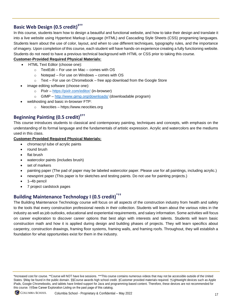## **Basic Web Design (0.5 credit)<sup>‡++</sup>**

In this course, students learn how to design a beautiful and functional website, and how to take their design and translate it into a live website using Hypertext Markup Language (HTML) and Cascading Style Sheets (CSS) programing languages. Students learn about the use of color, layout, and when to use different techniques, typography rules, and the importance of imagery. Upon completion of this course, each student will have hands-on experience creating a fully functioning website. Students do not need to have a previous technical background with HTML or CSS prior to taking this course.

#### **Customer-Provided Required Physical Materials:**

- HTML Text Editor (choose one):
	- o TextEdit For use on Mac comes with OS
	- $\circ$  Notepad For use on Windows comes with OS
	- $\circ$  Text For use on Chromebook free app download from the Google Store
- image editing software (choose one):
	- o Pixlr <https://pixlr.com/editor/> (in-browser)
	- o GIMP <http://www.gimp.org/downloads/> (downloadable program)
- webhosting and basic in-browser FTP:
	- o Neocities https://www.neocities.org

#### **Beginning Painting (0.5 credit)<sup>ࠠ</sup>**

This course introduces students to classical and contemporary painting, techniques and concepts, with emphasis on the understanding of its formal language and the fundamentals of artistic expression. Acrylic and watercolors are the mediums used in this class.

#### **Customer-Provided Required Physical Materials:**

- chromacryl tube of acrylic paints
- round brush
- flat brush
- watercolor paints (includes brush)
- set of markers
- painting paper (The pad of paper may be labeled watercolor paper. Please use for all paintings, including acrylic.)
- newsprint paper (This paper is for sketches and testing paints. Do not use for painting projects.)
- 1–4b pencil
- 7 project cardstock pages

## **Building Maintenance Technology I (0.5 credit)\*††**

The Building Maintenance Technology course will focus on all aspects of the construction industry from health and safety to the tools that every construction professional needs in their collection. Students will learn about the various roles in the industry as well as job outlooks, educational and experiential requirements, and salary information. Some activities will focus on career exploration to discover career options that best align with interests and talents. Students will learn basic construction math and how it is applied during design and building phases of projects. They will learn specifics about carpentry, construction drawings, framing floor systems, framing walls, and framing roofs. Throughout, they will establish a foundation for what opportunities exist for them in the industry.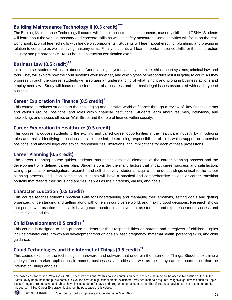## **Building Maintenance Technology II (0.5 credit)\*††**

The Building Maintenance Technology II course will focus on construction components, masonry skills, and OSHA. Students will learn about the various masonry and concrete skills as well as safety measures. Some activities will focus on the realworld application of learned skills with hands-on components. Students will learn about erecting, plumbing, and bracing in relation to concrete as well as laying masonry units. Finally, students will learn important science skills for the construction industry and prepare for OSHA 30-hour Construction certification exam.

#### **Business Law (0.5 credit)††**

In this course, students will learn about the American legal system as they examine ethics, court systems, criminal law, and torts. They will explore how the court systems work together, and which types of misconduct result in going to court. As they progress through the course, students will also gain an understanding of what is right and wrong in business actions and employment law. Study will focus on the formation of a business and the basic legal issues associated with each type of business.

### **Career Exploration in Finance (0.5 credit)††**

This course introduces students to the challenging and lucrative world of finance through a review of key financial terms and various groups, positions, and roles within financial institutions. Students learn about resumes, interviews, and networking, and discuss ethics on Wall Street and the role of finance within society.

#### **Career Exploration in Healthcare (0.5 credit)**

This course introduces students to the exciting and varied career opportunities in the healthcare industry by introducing roles and tasks, identifying education and skills needed, determining responsibilities of roles which support or supervise positions, and analyze legal and ethical responsibilities, limitations, and implications for each of these professions.

### **Career Planning (0.5 credit)**

The Career Planning course guides students through the essential elements of the career planning process and the development of a defined career plan. Students consider the many factors that impact career success and satisfaction. Using a process of investigation, research, and self-discovery, students acquire the understandings critical to the career planning process, and upon completion, students will have a practical and comprehensive college or career transition portfolio that reflects their skills and abilities, as well as their interests, values, and goals.

### **Character Education (0.5 Credit)**

This course teaches students practical skills for understanding and managing their emotions, setting goals and getting organized, understanding and getting along with others in our diverse world, and making good decisions. Research shows that people who practice these skills have greater academic achievement as students and experience more success and satisfaction as adults.

### **Child Development (0.5 credit)††**

This course is designed to help prepare students for their responsibilities as parents and caregivers of children. Topics include prenatal care, growth and development through age six, teen pregnancy, maternal health, parenting skills, and child guidance.

### **Cloud Technologies and the Internet of Things (0.5 credit)††**

This course examines the technologies, hardware, and software that underpin the Internet of Things. Students examine a variety of end-market applications in homes, businesses, and cities, as well as the many career opportunities that the Internet of Things enables.

<sup>\*</sup>Increased cost for course. \*\*Course will NOT have live sessions. \*\*\*This course contains numerous videos that may not be accessible outside of the United States. §May be found in the public domain. §§Course awards high school credit. ‡Customer provided materials required. †Lightweight devices such as Apple iPads, Google Chromebooks, and tablets have limited support for Java and programming-based content. Therefore, these devices are not recommended for this course. ††See Career Exploration Listing on the past page of this catalog.

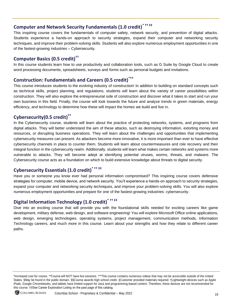## **Computer and Network Security Fundamentals (1.0 credit)\* †† ‡‡**

This inspiring course covers the fundamentals of computer safety, network security, and prevention of digital attacks. Students experience a hands-on approach to security strategies, expand their computer and networking security techniques, and improve their problem-solving skills. Students will also explore numerous employment opportunities in one of the fastest-growing industries – Cybersecurity.

### **Computer Basics (0.5 credit)††**

In this course students learn how to use productivity and collaboration tools, such as G Suite by Google Cloud to create word processing documents, spreadsheets, surveys and forms such as personal budgets and invitations.

### **Construction: Fundamentals and Careers (0.5 credit)\*††**

This course introduces students to the evolving industry of construction! In addition to building on standard concepts such as technical skills, project planning, and regulations, students will learn about the variety of career possibilities within construction. They will also explore the entrepreneurial side of construction and discover what it takes to start and run your own business in this field. Finally, the course will look towards the future and analyze trends in green materials, energy efficiency, and technology to determine how these will impact the homes we build and live in.

## **Cybersecurity(0.5 credit) ††**

In the Cybersecurity course, students will learn about the practice of protecting networks, systems, and programs from digital attacks. They will better understand the aim of these attacks, such as destroying information, extorting money and resources, or disrupting business operations. They will learn about the challenges and opportunities that implementing cybersecurity measures can present. As attackers become more innovative, it is more important than ever to have effective cybersecurity channels in place to counter them. Students will learn about countermeasures and role recovery and their integral function in the cybersecurity realm. Additionally, students will learn what makes certain networks and systems more vulnerable to attacks. They will become adept at identifying potential viruses, worms, threats, and malware. The Cybersecurity course acts as a foundation on which to build extensive knowledge about threats to digital security.

### **Cybersecurity Essentials (1.0 credit)\* †† ‡‡**

Have you or someone you know ever had personal information compromised? This inspiring course covers defensive strategies for computer, mobile device, and network security. You'll experience a hands-on approach to security strategies, expand your computer and networking security techniques, and improve your problem-solving skills. You will also explore numerous employment opportunities and prepare for one of the fastest-growing industries: cybersecurity.

#### **Digital Information Technology (1.0 credit)\* †† ‡‡**

Dive into an exciting course that will provide you with the foundational skills needed for exciting careers like game development, military defense, web design, and software engineering! You will explore Microsoft Office online applications, web design, emerging technologies, operating systems, project management, communication methods, Information Technology careers, and much more in this course. Learn about your strengths and how they relate to different career paths.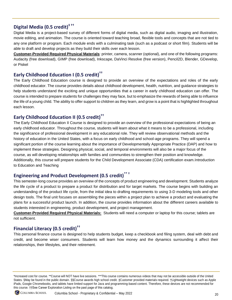## **Digital Media (0.5 credit)‡ ††**

Digital Media is a project-based survey of different forms of digital media, such as digital audio, imaging and illustration, movie editing, and animation. The course is oriented toward teaching broad, flexible tools and concepts that are not tied to any one platform or program. Each module ends with a culminating task (such as a podcast or short film). Students will be able to draft and develop projects as they build their skills over each lesson.

**Customer-Provided Required Physical Materials**: printer, camera, scanner (optional), and one of the following programs: Audacity (free download), GIMP (free download), Inkscape, DaVinci Resolve (free version), Pencil2D, Blender, GDevelop, or Piskel

#### **Early Childhood Education I (0.5 credit)††**

The Early Childhood Education course is designed to provide an overview of the expectations and roles of the early childhood educator. The course provides details about childhood development, health, nutrition, and guidance strategies to help students understand the exciting and unique opportunities that a career in early childhood education can offer. The course is intended to prepare students for challenges they may face, but to emphasize the rewards of being able to influence the life of a young child. The ability to offer support to children as they learn, and grow is a point that is highlighted throughout each lesson.

#### **Early Childhood Education II (0.5 credit)††**

The Early Childhood Education II Course is designed to provide an overview of the professional expectations of being an early childhood educator. Throughout the course, students will learn about what it means to be a professional, including the significance of professional development in any educational role. They will review observational methods and the history of education in the United States, with a focus on early childhood and school-age programs. They will spend a significant portion of the course learning about the importance of Developmentally Appropriate Practice (DAP) and how to implement these strategies. Designing physical, social, and temporal environments will also be a major focus of the course, as will developing relationships with families and communities to strengthen their position and knowledge. Additionally, this course will prepare students for the Child Development Associate (CDA) certification exam.Introduction to Education and Teaching

### **Engineering and Product Development (0.5 credit)\*\* †**

This semester-long course provides an overview of the concepts of product engineering and development. Students analyze the life cycle of a product to prepare a product for distribution and for target markets. The course begins with building an understanding of the product life cycle, from the initial idea to drafting requirements to using 3-D modeling tools and other design tools. The final unit focuses on assembling the pieces within a project plan to achieve a product and evaluating the plans for a successful product launch. In addition, the course provides information about the different careers available to students interested in engineering, product development, and project management.

**Customer-Provided Required Physical Materials:** Students will need a computer or laptop for this course; tablets are not sufficient.

### **Financial Literacy (0.5 credit)††**

This personal finance course is designed to help students budget, keep a checkbook and filing system, deal with debt and credit, and become wiser consumers. Students will learn how money and the dynamics surrounding it affect their relationships, their lifestyles, and their retirement.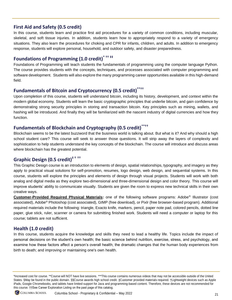#### **First Aid and Safety (0.5 credit)**

In this course, students learn and practice first aid procedures for a variety of common conditions, including muscular, skeletal, and soft tissue injuries. In addition, students learn how to appropriately respond to a variety of emergency situations. They also learn the procedures for choking and CPR for infants, children, and adults. In addition to emergency response, students will explore personal, household, and outdoor safety, and disaster preparedness.

## **Foundations of Programming (1.0 credit)\* †† ‡‡**

Foundations of Programming will teach students the fundamentals of programming using the computer language Python. The course provides students with the concepts, techniques, and processes associated with computer programming and software development. Students will also explore the many programming career opportunities available in this high-demand field.

## **Fundamentals of Bitcoin and Cryptocurrency (0.5 credit)\*\*††**

Upon completion of this course, students will understand bitcoin, including its history, development, and context within the modern global economy. Students will learn the basic cryptographic principles that underlie bitcoin, and gain confidence by demonstrating strong security principles in storing and transaction bitcoin. Key principles such as mining, wallets, and hashing will be introduced. And finally they will be familiarized with the nascent industry of digital currencies and how they function.

#### **Fundamentals of Blockchain and Cryptography (0.5 credit)\*\*††**

Blockchain seems to be the latest buzzword that the business world is talking about. But what is it? And why should a high school student care? This course will seek to answer those questions. It will strip away the layers of complexity and sophistication to help students understand the key concepts of the blockchain. The course will introduce and discuss areas where blockchain has the greatest potential.

## **Graphic Design (0.5 credit)‡ † ††**

This Graphic Design course is an introduction to elements of design, spatial relationships, typography, and imagery as they apply to practical visual solutions for self-promotion, resumes, logo design, web design, and sequential systems. In this course, students will explore the principles and elements of design through visual projects. Students will work with both analog and digital media as they explore two-dimensional and three-dimensional design and color theory. This course will improve students' ability to communicate visually. Students are given the room to express new technical skills in their own creative ways.

**Customer-Provided Required Physical Materials:** one of the following software programs: Adobe® Illustrator (cost associated), Adobe® Photoshop (cost associated), GIMP (free download), or Pixlr (free browser-based program). Additional required materials include the following: triangle, Exacto knife, markers, pencil, paper note pad, colored pencils, dotted line paper, glue stick, ruler, scanner or camera for submitting finished work. Students will need a computer or laptop for this course; tablets are not sufficient.

### **Health (1.0 credit)**

In this course, students acquire the knowledge and skills they need to lead a healthy life. Topics include the impact of personal decisions on the student's own health; the basic science behind nutrition, exercise, stress, and psychology, and examine how these factors affect a person's overall health; the dramatic changes that the human body experiences from birth to death; and improving or maintaining one's own health.

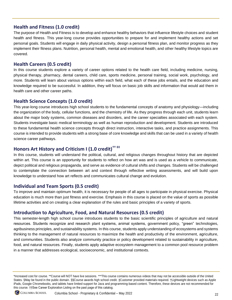#### **Health and Fitness (1.0 credit)**

The purpose of Health and Fitness is to develop and enhance healthy behaviors that influence lifestyle choices and student health and fitness. This year-long course provides opportunities to prepare for and implement healthy actions and set personal goals. Students will engage in daily physical activity, design a personal fitness plan, and monitor progress as they implement their fitness plans. Nutrition, personal health, mental and emotional health, and other healthy lifestyle topics are covered.

#### **Health Careers (0.5 credit)**

In this course students explore a variety of career options related to the health care field, including medicine, nursing, physical therapy, pharmacy, dental careers, child care, sports medicine, personal training, social work, psychology, and more. Students will learn about various options within each field, what each of these jobs entails, and the education and knowledge required to be successful. In addition, they will focus on basic job skills and information that would aid them in health care and other career paths.

#### **Health Science Concepts (1.0 credit)**

This year-long course introduces high school students to the fundamental concepts of anatomy and physiology—including the organization of the body, cellular functions, and the chemistry of life. As they progress through each unit, students learn about the major body systems, common diseases and disorders, and the career specialties associated with each system. Students investigate basic medical terminology as well as human reproduction and development. Students are introduced to these fundamental health science concepts through direct instruction, interactive tasks, and practice assignments. This course is intended to provide students with a strong base of core knowledge and skills that can be used in a variety of health science career pathways.

#### **Honors Art History and Criticism I (1.0 credit)†† ‡‡**

In this course, students will understand the political, cultural, and religious changes throughout history that are depicted within art. This course is an opportunity for students to reflect on how art was and is used as a vehicle to communicate, depict political and religious propaganda, and serve as evidence of cultural shifts and changes. Students will be challenged to contemplate the connection between art and context through reflective writing assessments, and will build upon knowledge to understand how art reflects and communicates cultural change and evolution.

#### **Individual and Team Sports (0.5 credit)**

To improve and maintain optimum health, it is necessary for people of all ages to participate in physical exercise. Physical education is much more than just fitness and exercise. Emphasis in this course is placed on the value of sports as possible lifetime activities and on creating a clear explanation of the rules and basic principles of a variety of sports.

#### **Introduction to Agriculture, Food, and Natural Resources (0.5 credit)**

This semester-length high school course introduces students to the basic scientific principles of agriculture and natural resources. Students recognize and research plant systems, animal systems, government policy, "green" technologies, agribusiness principles, and sustainability systems. In this course, students apply understanding of ecosystems and systems thinking to the management of natural resources to maximize the health and productivity of the environment, agriculture, and communities. Students also analyze community practice or policy development related to sustainability in agriculture, food, and natural resources. Finally, students apply adaptive ecosystem management to a common pool resource problem in a manner that addresses ecological, socioeconomic, and institutional contexts.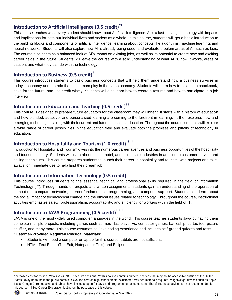## **Introduction to Artificial Intelligence (0.5 credit)††**

This course teaches what every student should know about Artificial Intelligence. AI is a fast-moving technology with impacts and implications for both our individual lives and society as a whole. In this course, students will get a basic introduction to the building blocks and components of artificial intelligence, learning about concepts like algorithms, machine learning, and neural networks. Students will also explore how AI is already being used, and evaluate problem areas of AI, such as bias. The course also contains a balanced look at AI's impact on existing jobs, as well as its potential to create new and exciting career fields in the future. Students will leave the course with a solid understanding of what AI is, how it works, areas of caution, and what they can do with the technology.

## **Introduction to Business (0.5 credit)††**

This course introduces students to basic business concepts that will help them understand how a business survives in today's economy and the role that consumers play in the same economy. Students will learn how to balance a checkbook, save for the future, and use credit wisely. Students will also learn how to create a resume and how to participate in a job interview.

### **Introduction to Education and Teaching (0.5 credit)††**

This course is designed to prepare future educators for the classroom they will inherit! It starts with a history of education and how blended, adaptive, and personalized learning are coming to the forefront in learning. It then explores new and emerging technologies, along with their current and future impact on education. Throughout the course, students will explore a wide range of career possibilities in the education field and evaluate both the promises and pitfalls of technology in education.

#### **Introduction to Hospitality and Tourism (1.0 credit)†† ‡‡**

Introduction to Hospitality and Tourism dives into the numerous career avenues and business opportunities of the hospitality and tourism industry. Students will learn about airline, hotel, and cruise ship industries in addition to customer service and selling techniques. This course prepares students to launch their career in hospitality and tourism, with projects and takeaways for immediate use to help land their dream job.

#### **Introduction to Information Technology (0.5 credit)**

This course introduces students to the essential technical and professional skills required in the field of lnformation Technology (IT). Through hands-on projects and written assignments, students gain an understanding of the operation of comput-ers, computer networks, Internet fundamentals, programming, and computer sup-port. Students also learn about the social impact of technological change and the ethical issues related to technology. Throughout the course, instructional activities emphasize safety, professionalism, accountability, and efficiency for workers within the field of IT.

## **Introduction to JAVA Programming (0.5 credit)‡ † ††**

JAVA is one of the most widely used computer languages in the world. This course teaches students Java by having them complete multiple projects, including games such as mad libs, player vs. computer games, battleship, tic-tac-toe, picture shuffler, and many more. This course assumes no Java coding experience and includes self-graded quizzes and tests.

#### **Customer-Provided Required Physical Materials:**

- Students will need a computer or laptop for this course; tablets are not sufficient.
- HTML Text Editor (TextEdit, Notepad, or Text) and Eclipse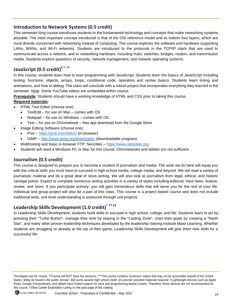#### **Introduction to Network Systems (0.5 credit)**

This semester-long course introduces students to the fundamental technology and concepts that make networking systems possible. The most important concept introduced is that of the OSI reference model and its bottom four layers, which are most directly concerned with networking instead of computing. The course explores the software and hardware supporting LANs, WANs, and Wi-Fi networks. Students are introduced to the protocols in the TCP/IP stack that are used to communicate across a network, and to networking hardware, including hubs, switches, bridges, routers, and transmission media. Students explore questions of security, network management, and network operating systems.

## **JavaScript (0.5 credit)‡ † ††**

In this course, students learn how to start programming with JavaScript. Students learn the basics of JavaScript including testing, functions, objects, arrays, loops, conditional code, operators and syntax basics. Students learn timing and animations, and how to debug. The class will conclude with a robust project that incorporates everything they learned in the semester. Note: Some YouTube videos are embedded within course.

**Prerequisite**: Students should have a working knowledge of HTML and CSS prior to taking this course.

#### **Required materials**:

- HTML Text Editor (choose one):
	- TextEdit for use on Mac comes with OS
	- Notepad for use on Windows comes with OS
	- Text for use on Chromebook free app download from the Google Store
- Image Editing Software (choose one):
	- Pixlr <https://pixlr.com/editor/> (in-browser)
	- GIMP <http://www.gimp.org/downloads/> (downloadable program)
	- Webhosting and basic in-browser FTP: Neocities [https://www.neocities.org](https://www.neocities.org/)
- Students will need a Windows PC or Mac for this course; Chromebooks and tablets are not sufficient.

#### **Journalism (0.5 credit)**

This course is designed to prepare you to become a student of journalism and media. The work we do here will equip you with the critical skills you must have to succeed in high school media, college media, and beyond. We will read a variety of journalistic material and do a great deal of news writing. We will also look at journalism from legal, ethical, and historic vantage points. Expect to complete numerous writing activities in a variety of styles including editorial, hard news, feature, review, and more. If you participate actively, you will gain tremendous skills that will serve you for the rest of your life. Individual and group project will also be a part of this class. This course is a project-based course and does not include traditional tests, unit level understanding is assessed through unit projects.

## **Leadership Skills Development (1.0 credit)\* †† ‡‡**

In Leadership Skills Development, students build skills to succeed in high school, college, and life. Students learn to act by pressing their "Turbo Button", manage their time by staying in the "Lasting Zone", chart their goals by creating a "North Star", and many other proven leadership techniques developed by the leadership training institute Mawi Learning. Whether students are struggling or already at the top of their game, Leadership Skills Development will give them new skills for a successful life.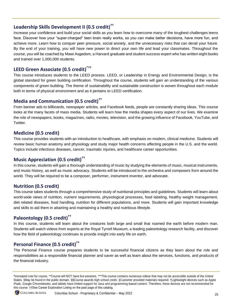#### **Leadership Skills Development II (0.5 credit)††**

Increase your confidence and build your social skills as you learn how to overcome many of the toughest challenges teens face. Discover how your "super-charged" teen brain really works, so you can make better decisions, have more fun, and achieve more. Learn how to conquer peer pressure, social anxiety, and the unnecessary risks that can derail your future. By the end of your training, you will have new power to direct your own life and lead your classmates. Throughout the course, you will be coached by Mawi Asgedom, a Harvard graduate and student success expert who has written eight books and trained over 1,000,000 students.

## **LEED Green Associate (0.5 credit)\*††**

This course introduces students to the LEED process. LEED, or Leadership in Energy and Environmental Design, is the global standard for green building certification. Throughout the course, students will gain an understanding of the various components of green building. The theme of sustainability and sustainable construction is woven throughout each module both in terms of physical environment and as it pertains to LEED certification.

#### **Media and Communication (0.5 credit)††**

From banner ads to billboards, newspaper articles, and Facebook feeds, people are constantly sharing ideas. This course looks at the many facets of mass media. Students will learn how the media shapes every aspect of our lives. We examine the role of newspapers, books, magazines, radio, movies, television, and the growing influence of Facebook, YouTube, and Twitter.

#### **Medicine (0.5 credit)**

This course provides students with an introduction to healthcare, with emphasis on modern, clinical medicine. Students will review basic human anatomy and physiology and study major health concerns affecting people in the U.S. and the world. Topics include infectious diseases, cancer, traumatic injuries, and healthcare career opportunities.

#### **Music Appreciation (0.5 credit)††**

In this course, students will gain a thorough understanding of music by studying the elements of music, musical instruments, and music history, as well as music advocacy. Students will be introduced to the orchestra and composers from around the world. They will be required to be a composer, performer, instrument inventor, and advocate.

#### **Nutrition (0.5 credit)**

This course takes students through a comprehensive study of nutritional principles and guidelines. Students will learn about world-wide views of nutrition, nutrient requirements, physiological processes, food labeling, healthy weight management, diet related diseases, food handling, nutrition for different populations, and more. Students will gain important knowledge and skills to aid them in attaining and maintaining a healthy and nutritious lifestyle.

#### **Paleontology (0.5 credit)††**

In this course, students will learn about the creatures both large and small that roamed the earth before modern man. Students will watch videos from experts at the Royal Tyrrell Museum, a leading paleontology research facility, and discover how the field of paleontology continues to provide insight into early life on earth.

#### **Personal Finance (0.5 credit)††**

The Personal Finance course prepares students to be successful financial citizens as they learn about the role and responsibilities as a responsible financial planner and saver as well as learn about the services, functions, and products of the financial industry.

<sup>\*</sup>Increased cost for course. \*\*Course will NOT have live sessions. \*\*\*This course contains numerous videos that may not be accessible outside of the United States. §May be found in the public domain. §§Course awards high school credit. ‡Customer provided materials required. †Lightweight devices such as Apple iPads, Google Chromebooks, and tablets have limited support for Java and programming-based content. Therefore, these devices are not recommended for this course. ††See Career Exploration Listing on the past page of this catalog.

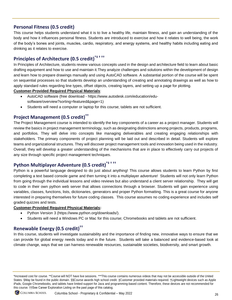#### **Personal Fitness (0.5 credit)**

This course helps students understand what it is to live a healthy life, maintain fitness, and gain an understanding of the body and how it influences personal fitness. Students are introduced to exercise and how it relates to well being, the work of the body's bones and joints, muscles, cardio, respiratory, and energy systems, and healthy habits including eating and drinking as it relates to exercise.

## **Principles of Architecture (0.5 credit)\*‡ † ††**

In Principles of Architecture, students review various concepts used in the design and architecture field to learn about basic drafting equipment and how to use and maintain it.They analyze challenges and solutions within the development of design and learn how to prepare drawings manually and using AutoCAD software. A substantial portion of the course will be spent on sequential processes so that students develop an understanding of creating and annotating drawings as well as how to apply standard rules regarding line types, offset objects, creating layers, and setting up a page for plotting.

#### **Customer-Provided Required Physical Materials**:

- AutoCAD software (free download [https://www.autodesk.com/education/edu](https://www.autodesk.com/education/edu-software/overview?sorting=featured&page=1)[software/overview?sorting=featured&page=1\)](https://www.autodesk.com/education/edu-software/overview?sorting=featured&page=1)
- Students will need a computer or laptop for this course; tablets are not sufficient.

#### **Project Management (0.5 credit)††**

The Project Management course is intended to identify the key components of a career as a project manager. Students will review the basics in project management terminology, such as designating distinctions among projects, products, programs, and portfolios. They will delve into concepts like managing deliverables and creating engaging relationships with stakeholders. The primary components of project planning will be laid out and described in detail. Students will explore teams and organizational structures. They will discover project management tools and innovation being used in the industry. Overall, they will develop a greater understanding of the mechanisms that are in place to effectively carry out projects of any size through specific project management techniques.

## **Python Multiplayer Adventure (0.5 credit)\*‡ † ††**

Python is a powerful language designed to do just about anything! This course allows students to learn Python by first completing a text based console game and then turning it into a multiplayer adventure! Students will not only learn Python from going through the individual lessons and video reviews but also understand a client server relationship. They will get to code in their own python web server that allows connections through a browser. Students will gain experience using variables, classes, functions, lists, dictionaries, generators and proper Python formatting. This is a great course for anyone interested in preparing themselves for future coding classes. This course assumes no coding experience and includes self graded quizzes and tests.

#### **Customer-Provided Required Physical Materials:**

- Python Version 3 [\(https://www.python.org/downloads/\)](https://www.python.org/downloads/).
- Students will need a Windows PC or Mac for this course; Chromebooks and tablets are not sufficient.

## **Renewable Energy (0.5 credit)††**

In this course, students will investigate sustainability and the importance of finding new, innovative ways to ensure that we can provide for global energy needs today and in the future. Students will take a balanced and evidence-based look at climate change, ways that we can harness renewable resources, sustainable societies, biodiversity, and smart growth.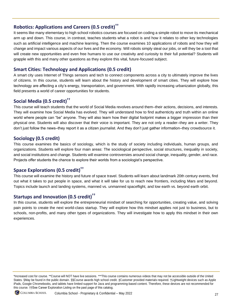#### **Robotics: Applications and Careers (0.5 credit)††**

It seems like many elementary to high school robotics courses are focused on coding a simple robot to move its mechanical arm up and down. This course, in contrast, teaches students what a robot is and how it relates to other key technologies such as artificial intelligence and machine learning. Then the course examines 10 applications of robots and how they will change and impact various aspects of our lives and the economy. Will robots simply steal our jobs, or will they be a tool that will create new opportunities and even free humans to use our creativity and curiosity to their full potential? Students will grapple with this and many other questions as they explore this vital, future-focused subject.

#### **Smart Cities: Technology and Applications (0.5 credit)**

A smart city uses Internet of Things sensors and tech to connect components across a city to ultimately improve the lives of citizens. In this course, students will learn about the history and development of smart cities. They will explore how technology are affecting a city's energy, transportation, and government. With rapidly increasing urbanization globally, this field presents a world of career opportunities for students.

#### **Social Media (0.5 credit)††**

This course will teach students that the world of Social Media revolves around them–their actions, decisions, and interests. They will examine how Social Media has evolved. They will understand how to find authenticity and truth within an online world where people can "be" anyone. They will also learn how their digital footprint makes a bigger impression than their physical one. Students will also discover that their voice is important. They are not only a reader–they are a writer. They don't just follow the news–they report it as a citizen journalist. And they don't just gather information–they crowdsource it.

#### **Sociology (0.5 credit)**

This course examines the basics of sociology, which is the study of society including individuals, human groups, and organizations. Students will explore four main areas: The sociological perspective, social structures, inequality in society, and social institutions and change. Students will examine controversies around social change, inequality, gender, and race. Projects offer students the chance to explore their worlds from a sociologist's perspective.

### **Space Explorations (0.5 credit)††**

This course will examine the history and future of space travel. Students will learn about landmark 20th century events, find out what it takes to put people in space, and what it will take for us to reach new frontiers, including Mars and beyond. Topics include launch and landing systems, manned vs. unmanned spaceflight, and low earth vs. beyond earth orbit.

### **Startups and Innovation (0.5 credit)††**

In this course, students will explore the entrepreneurial mindset of searching for opportunities, creating value, and solving pain points to create the next world-class startup. They will explore how this mindset applies not just to business, but to schools, non-profits, and many other types of organizations. They will investigate how to apply this mindset in their own experiences.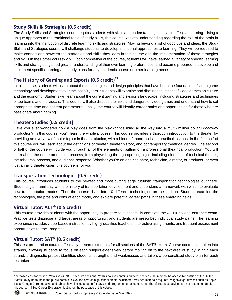#### **Study Skills & Strategies (0.5 credit)**

The Study Skills and Strategies course equips students with skills and understandings critical to effective learning. Using a unique approach to the traditional topic of study skills, this course weaves understanding regarding the role of the brain in learning into the instruction of discrete learning skills and strategies. Moving beyond a list of good tips and ideas, the Study Skills and Strategies course will challenge students to develop intentional approaches to learning. They will be required to make connections between the strategies and skills they learn in this course and the implementation of those strategies and skills in their other coursework. Upon completion of the course, students will have learned a variety of specific learning skills and strategies, gained greater understanding of their own learning preferences, and become prepared to develop and implement specific learning and study plans for any academic course or other learning needs.

### **The History of Gaming and Esports (0.5 credit)††**

In this course, students will learn about the technologies and design principles that have been the foundation of video game technology and development over the last 50 years. Students will examine and discuss the impact of video games on culture and the economy. Students will learn about the current gaming and e-sports landscape, including strategies and techniques of top teams and individuals. This course will also discuss the risks and dangers of video games and understand how to set appropriate time and content parameters. Finally, the course will identify career paths and opportunities for those who are passionate about gaming.

### **Theater Studies (0.5 credit)††**

Have you ever wondered how a play goes from the playwright's mind all the way into a multi- million dollar Broadway production? In this course, you'll learn the whole process! This course provides a thorough introduction to the theater by providing an overview of major topics in theater studies, with a blend of theoretical and practical lessons. In the first half of this course you will learn about the definitions of theater, theater history, and contemporary theatrical genres. The second of half of the course will guide you through all of the elements of putting on a professional theatrical production. You will learn about the entire production process, from playwriting through opening night, including elements of technical theater, the rehearsal process, and audience response. Whether you're an aspiring actor, technician, director, or producer, or even just an avid theater-goer, this course is for you.

#### **Transportation Technologies (0.5 credit)**

This course introduces students to the newest and most cutting edge futuristic transportation technologies out there. Students gain familiarity with the history of transportation development and understand a framework with which to evaluate new transportation modes. Then the course dives into 10 different technologies on the horizon. Students examine the technologies, the pros and cons of each mode, and explore potential career paths in these emerging fields.

#### **Virtual Tutor: ACT® (0.5 credit)**

This course provides students with the opportunity to prepare to successfully complete the ACT® college-entrance exam. Practice tests diagnose and target areas of opportunity, and students are prescribed individual study paths. The learning experience includes video-based instruction by highly qualified teachers, interactive assignments, and frequent assessment opportunities to track progress.

#### **Virtual Tutor: SAT® (0.5 credit)**

This test preparation course effectively prepares students for all sections of the SAT® exam. Course content is broken into strands, allowing students to focus on each subject extensively before moving on to the next area of study. Within each strand, a diagnostic pretest identifies students' strengths and weaknesses and tailors a personalized study plan for each test-taker.

<sup>\*</sup>Increased cost for course. \*\*Course will NOT have live sessions. \*\*\*This course contains numerous videos that may not be accessible outside of the United States. §May be found in the public domain. §§Course awards high school credit. ‡Customer provided materials required. †Lightweight devices such as Apple iPads, Google Chromebooks, and tablets have limited support for Java and programming-based content. Therefore, these devices are not recommended for this course. ††See Career Exploration Listing on the past page of this catalog.

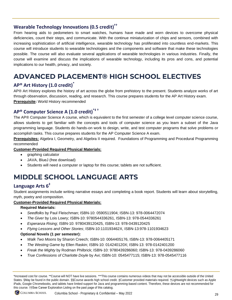## **Wearable Technology Innovations (0.5 credit)††**

From hearing aids to pedometers to smart watches, humans have made and worn devices to overcome physical deficiencies, count their steps, and communicate. With the continue miniaturization of chips and sensors, combined with increasing sophistication of artificial intelligence, wearable technology has proliferated into countless end-markets. This course will introduce students to wearable technologies and the components and software that make these technologies possible. The course will also evaluate several applications of wearable technologies in various industries. Finally, the course will examine and discuss the implications of wearable technology, including its pros and cons, and potential implications to our health, privacy, and society.

## <span id="page-30-0"></span>**ADVANCED PLACEMENT® HIGH SCHOOL ELECTIVES**

### **AP® Art History (1.0 credit)\***

AP® Art History explores the history of art across the globe from prehistory to the present. Students analyze works of art through observation, discussion, reading, and research. This course prepares students for the AP Art History exam. **Prerequisite:** World History recommended

#### **AP® Computer Science A (1.0 credit)\*‡ †**

The AP® Computer Science A course, which is equivalent to the first semester of a college level computer science course, allows students to get familiar with the concepts and tools of computer science as you learn a subset of the Java programming language. Students do hands-on work to design, write, and test computer programs that solve problems or accomplish tasks. This course prepares students for the AP Computer Science A exam.

**Prerequisites:** Algebra I, Geometry, and Algebra II required. Foundations of Programming and Procedural Programming recommended

#### **Customer-Provided Required Physical Materials:**

- graphing calculator
- JAVA, BlueJ (free download)
- Students will need a computer or laptop for this course; tablets are not sufficient.

## <span id="page-30-1"></span>**MIDDLE SCHOOL LANGUAGE ARTS**

#### **Language Arts 6‡**

Student assignments include writing narrative essays and completing a book report. Students will learn about storytelling, myth, poetry and composition.

#### **Customer-Provided Required Physical Materials:**

#### **Required Materials:**

- *Seedfolks* by Paul Fleischman; ISBN-10: 0590511904; ISBN-13: 978-0064472074
- *The Giver* by Lois Lowry; ISBN-10: 9780544336261, ISBN-13: 978-0544336261
- *Esperanza Rising*; ISBN-10: 9780439120425, ISBN-13: 978-0439120425
- *Flying Lessons and Other Stories*; ISBN-10:110193462X, ISBN-13:978-1101934623

#### **Optional Novels (1 per semester):**

- *Walk Two Moons* by Sharon Creech; ISBN-10: 0064405176, ISBN-13: 978-0064405171
- *The Westing Game* by Ellen Raskin; ISBN-10: 014240120X; ISBN-13: 978-0142401200
- *Freak the Mighty* by Rodman Philbrick; ISBN-10: 9780439286060; ISBN-13: 978-0439286060
- *True Confessions of Charlotte Doyle* by Avi; ISBN-10: 0545477115; ISBN-13: 978-0545477116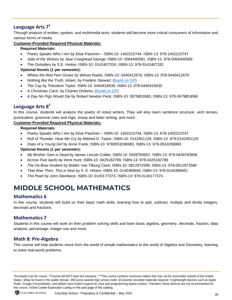## **Language Arts 7‡**

Through analysis of written, spoken, and multimedia texts, students will become more critical consumers of information and various forms of media.

#### **Customer-Provided Required Physical Materials:**

#### **Required Materials:**

- *Poetry Speaks Who I Am* by Elise Paschen ISBN-10: 1402210744, ISBN-13: 978-1402210747
- *Julie of the Wolves* by Jean Craighead George; ISBN-10: 0064400581, ISBN-13: 978-0064400589
- *The Outsiders* by S.E. Hinton; ISBN-10: 014240733X, ISBN-13: 978-0142407332

#### **Optional Novels (1 per semester):**

- *Where the Red Fern Grows* by Wilson Rawls; ISBN-10: 0440412676; ISBN-13: 978-0440412670
- *Nothing But the Truth, Isham*, by Frederic Stewart; [\(found on GP\)](https://www.gutenberg.org/ebooks/43916)
- *The Cay* by Theodore Taylor; ISBN-10: 0440416639; ISBN-13: 978-0440416630
- A Christmas Carol, by Charles Dickens; [\(found on GP\)](https://www.gutenberg.org/ebooks/19337)
- *A Day No Pigs Would Die* by Robert Newton Peck; ISBN-10: 0679853065; ISBN-13: 978-0679853060

### **Language Arts 8‡**

In this course, students will analyze the poetry of noted writers. They will also learn sentence structure, verb tenses, punctuation, grammar rules and logic, essay and letter writing, and more.

#### **Customer-Provided Required Physical Materials:**

**Required Materials:**

- *Poetry Speaks Who I Am* by Elise Paschen ISBN-10: 1402210744, ISBN-13: 978-1402210747
- *Roll of Thunder, Hear Me Cry* by Mildred D. Taylor; ISBN-10: 0142401129, ISBN-13: 978-0142401125
- *Diary of a Young Girl* by Anne Frank; ISBN-10: 9780553296983, ISBN-13: 978-0553296983

#### **Optional Novels (1 per semester):**

- *My Brother Sam is Dead* by James Lincoln Collier; ISBN-10: 0439783607, ISBN-13: 978-0439783606
- *Across Five Aprils* by Irene Hunt; ISBN-10: 0425182789; ISBN-13: 978-0425182789
- *The Ox-Bow Incident* by Walter Van Tilburg Clark; ISBN-10: 0812972589, ISBN-13: 978-0812972580
- *That Was Then, This is Now* by S. E. Hinton; ISBN-10: 0140389660, ISBN-13: 978-0140389661
- *The Pearl* by John Steinbeck; ISBN-10: 014017737X, ISBN-13: 978-0140177374

## <span id="page-31-0"></span>**MIDDLE SCHOOL MATHEMATICS**

### **Mathematics 6**

In this course, students will build on their basic math skills, learning how to add, subtract, multiply and divide integers, decimals and fractions.

#### **Mathematics 7**

Students in this course will work on their problem solving skills and learn basic algebra, geometry, decimals, fraction, data analysis, percentage, integer use and more.

#### **Math 8: Pre-Algebra**

This course will help students move from the world of simple mathematics to the world of Algebra and Geometry, learning to solve real-world problems.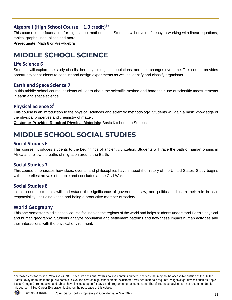#### **Algebra I (High School Course – 1.0 credit)§§**

This course is the foundation for high school mathematics. Students will develop fluency in working with linear equations, tables, graphs, inequalities and more.

**Prerequisite**: Math 8 or Pre-Algebra

## <span id="page-32-0"></span>**MIDDLE SCHOOL SCIENCE**

#### **Life Science 6**

Students will explore the study of cells, heredity, biological populations, and their changes over time. This course provides opportunity for students to conduct and design experiments as well as identify and classify organisms.

#### **Earth and Space Science 7**

In this middle school course, students will learn about the scientific method and hone their use of scientific measurements in earth and space science.

### **Physical Science 8‡**

This course is an introduction to the physical sciences and scientific methodology. Students will gain a basic knowledge of the physical properties and chemistry of matter.

**Customer-Provided Required Physical Materials:** Basic Kitchen Lab Supplies

## <span id="page-32-1"></span>**MIDDLE SCHOOL SOCIAL STUDIES**

#### **Social Studies 6**

This course introduces students to the beginnings of ancient civilization. Students will trace the path of human origins in Africa and follow the paths of migration around the Earth.

#### **Social Studies 7**

This course emphasizes how ideas, events, and philosophies have shaped the history of the United States. Study begins with the earliest arrivals of people and concludes at the Civil War.

#### **Social Studies 8**

In this course, students will understand the significance of government, law, and politics and learn their role in civic responsibility, including voting and being a productive member of society.

#### **World Geography**

This one-semester middle school course focuses on the regions of the world and helps students understand Earth's physical and human geography. Students analyze population and settlement patterns and how these impact human activities and their interactions with the physical environment.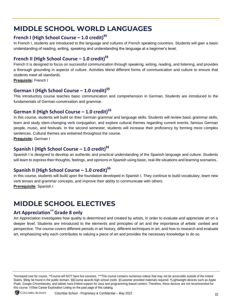## <span id="page-33-0"></span>**MIDDLE SCHOOL WORLD LANGUAGES**

## **French I (High School Course – 1.0 credit)§§**

In French I, students are introduced to the language and cultures of French speaking countries. Students will gain a basic understanding of reading, writing, speaking and understanding the language at a beginner's level.

### **French II (High School Course – 1.0 credit)§§**

French II is designed to focus on successful communication through speaking, writing, reading, and listening, and provides a thorough grounding in aspects of culture. Activities blend different forms of communication and culture to ensure that students meet all standards.

**Prequisite:** French I

### **German I (High School Course – 1.0 credit)§§**

This introductory course teaches basic communication and comprehension in German. Students are introduced to the fundamentals of German conversation and grammar.

#### **German II (High School Course – 1.0 credit)§§**

In this course, students will build on their German grammar and language skills. Students will review basic grammar skills, learn and study stem-changing verb conjugation, and explore cultural themes regarding current events, famous German people, music, and festivals. In the second semester, students will increase their proficiency by forming more complex sentences. Cultural themes are entwined throughout the course.

**Prequisite:** German I

### **Spanish I (High School Course – 1.0 credit)§§**

Spanish I is designed to develop an authentic and practical understanding of the Spanish language and culture. Students will learn to express their thoughts, feelings, and opinions in Spanish using basic, real-life situations and learning scenarios..

### **Spanish II (High School Course – 1.0 credit)§§**

In this course, students will build upon the foundation developed in Spanish I. They continue to build vocabulary, learn new verb tenses and grammar concepts, and improve their ability to communicate with others. **Prerequisite**: Spanish I

## <span id="page-33-1"></span>**MIDDLE SCHOOL ELECTIVES**

## **Art Appreciation††Grade 8 only**

Art Appreciation investigates how quality is determined and created by artists, in order to evaluate and appreciate art on a deeper level. Students are introduced to the elements and principles of art and the importance of artists' context and perspective. The course covers different periods in art history, different techniques in art, and how to research and evaluate art, emphasizing why each contributes to valuing a piece of art and provides the necessary knowledge to do so.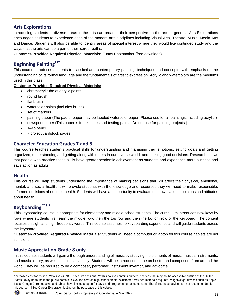#### **Arts Explorations**

Introducing students to diverse areas in the arts can broaden their perspective on the arts in general. Arts Explorations encourages students to experience each of the modern arts disciplines including Visual Arts, Theatre, Music, Media Arts and Dance. Students will also be able to identify areas of special interest where they would like continued study and the ways that the arts can be a part of their career paths.

**Customer-Provided Required Physical Materials:** Funny Photomaker (free download)

#### **Beginning Painting**<sup>#11</sup>

This course introduces students to classical and contemporary painting, techniques and concepts, with emphasis on the understanding of its formal language and the fundamentals of artistic expression. Acrylic and watercolors are the mediums used in this class.

#### **Customer-Provided Required Physical Materials:**

- chromacryl tube of acrylic paints
- round brush
- flat brush
- watercolor paints (includes brush)
- set of markers
- painting paper (The pad of paper may be labeled watercolor paper. Please use for all paintings, including acrylic.)
- newsprint paper (This paper is for sketches and testing paints. Do not use for painting projects.)
- 1–4b pencil
- 7 project cardstock pages

#### **Character Education Grades 7 and 8**

This course teaches students practical skills for understanding and managing their emotions, setting goals and getting organized, understanding and getting along with others in our diverse world, and making good decisions. Research shows that people who practice these skills have greater academic achievement as students and experience more success and satisfaction as adults.

#### **Health**

This course will help students understand the importance of making decisions that will affect their physical, emotional, mental, and social health. It will provide students with the knowledge and resources they will need to make responsible, informed decisions about their health. Students will have an opportunity to evaluate their own values, opinions and attitudes about health.

## **Keyboarding\*\*** ‡ **†**

This keyboarding course is appropriate for elementary and middle school students. The curriculum introduces new keys by rows where students first learn the middle row, then the top row and then the bottom row of the keyboard. The content focuses on sight and high-frequency words. This course assumes no keyboarding experience and will guide students across the keyboard.

**Customer-Provided Required Physical Materials:** Students will need a computer or laptop for this course; tablets are not sufficient.

#### **Music Appreciation Grade 8 only**

In this course, students will gain a thorough understanding of music by studying the elements of music, musical instruments, and music history, as well as music advocacy. Students will be introduced to the orchestra and composers from around the world. They will be required to be a composer, performer, instrument inventor, and advocate.

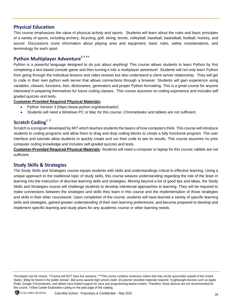#### **Physical Education**

This course emphasizes the value of physical activity and sports. Students will learn about the rules and basic principles of a variety of sports, including archery, bicycling, golf, skiing, tennis, volleyball, baseball, basketball, football, hockey, and soccer. Discussions cover information about playing area and equipment, basic rules, safety considerations, and terminology for each sport.

## **Python Multiplayer Adventure‡ † ††**

Python is a powerful language designed to do just about anything! This course allows students to learn Python by first completing a text based console game and then turning it into a multiplayer adventure! Students will not only learn Python from going through the individual lessons and video reviews but also understand a client server relationship. They will get to code in their own python web server that allows connections through a browser. Students will gain experience using variables, classes, functions, lists, dictionaries, generators and proper Python formatting. This is a great course for anyone interested in preparing themselves for future coding classes. This course assumes no coding experience and includes self graded quizzes and tests.

#### **Customer-Provided Required Physical Materials:**

- Python Version 3 [\(https://www.python.org/downloads/\)](https://www.python.org/downloads/).
- Students will need a Windows PC or Mac for this course; Chromebooks and tablets are not sufficient.

### **Scratch Coding**‡ **†**

Scratch is a program developed by MIT which teaches students the basics of how computers think. This course will introduce students to coding programs and allow them to drag and drop coding blocks to create a fully functional program. The user interface and tutorials allow students to quickly create and run their code to see its results. This course assumes no prior computer coding knowledge and includes self-graded quizzes and tests.

**Customer-Provided Required Physical Materials:** Students will need a computer or laptop for this course; tablets are not sufficient.

#### **Study Skills & Strategies**

The Study Skills and Strategies course equips students with skills and understandings critical to effective learning. Using a unique approach to the traditional topic of study skills, this course weaves understanding regarding the role of the brain in learning into the instruction of discrete learning skills and strategies. Moving beyond a list of good tips and ideas, the Study Skills and Strategies course will challenge students to develop intentional approaches to learning. They will be required to make connections between the strategies and skills they learn in this course and the implementation of those strategies and skills in their other coursework. Upon completion of the course, students will have learned a variety of specific learning skills and strategies, gained greater understanding of their own learning preferences, and become prepared to develop and implement specific learning and study plans for any academic course or other learning needs.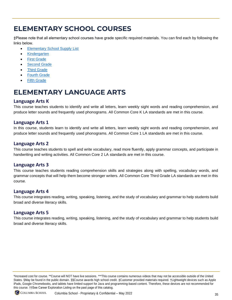## <span id="page-36-0"></span>**ELEMENTARY SCHOOL COURSES**

‡Please note that all elementary school courses have grade specific required materials. You can find each by following the links below.

- [Elementary School Supply List](#page-42-1)
- [Kindergarten](#page-42-2)
- **[First Grade](#page-43-0)**
- **[Second Grade](#page-44-0)**
- **[Third Grade](#page-44-1)**
- **[Fourth Grade](#page-45-0)**
- **[Fifth Grade](#page-46-0)**

## <span id="page-36-1"></span>**ELEMENTARY LANGUAGE ARTS**

#### **Language Arts K**

This course teaches students to identify and write all letters, learn weekly sight words and reading comprehension, and produce letter sounds and frequently used phonograms. All Common Core K LA standards are met in this course.

#### **Language Arts 1**

In this course, students learn to identify and write all letters, learn weekly sight words and reading comprehension, and produce letter sounds and frequently used phonograms. All Common Core 1 LA standards are met in this course.

#### **Language Arts 2**

This course teaches students to spell and write vocabulary, read more fluently, apply grammar concepts, and participate in handwriting and writing activities. All Common Core 2 LA standards are met in this course.

#### **Language Arts 3**

This course teaches students reading comprehension skills and strategies along with spelling, vocabulary words, and grammar concepts that will help them become stronger writers. All Common Core Third Grade LA standards are met in this course.

#### **Language Arts 4**

This course integrates reading, writing, speaking, listening, and the study of vocabulary and grammar to help students build broad and diverse literacy skills.

#### **Language Arts 5**

This course integrates reading, writing, speaking, listening, and the study of vocabulary and grammar to help students build broad and diverse literacy skills.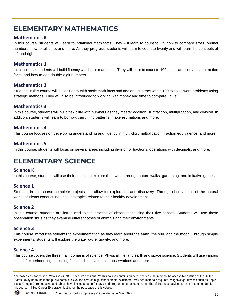## <span id="page-37-0"></span>**ELEMENTARY MATHEMATICS**

#### **Mathematics K**

In this course, students will learn foundational math facts. They will learn to count to 12, how to compare sizes, ordinal numbers, how to tell time, and more. As they progress, students will learn to count to twenty and will learn the concepts of left and right.

#### **Mathematics 1**

In this course, students will build fluency with basic math facts. They will learn to count to 100, basic addition and subtraction facts, and how to add double-digit numbers.

#### **Mathematics 2**

Students in this course will build fluency with basic math facts and add and subtract within 100 to solve word problems using strategic methods. They will also be introduced to working with money and time to compare value.

#### **Mathematics 3**

In this course, students will build flexibility with numbers as they master addition, subtraction, multiplication, and division. In addition, students will learn to borrow, carry, find patterns, make estimations and more.

#### **Mathematics 4**

This course focuses on developing understanding and fluency in multi-digit multiplication, fraction equivalence, and more.

#### **Mathematics 5**

In this course, students will focus on several areas including division of fractions, operations with decimals, and more.

## <span id="page-37-1"></span>**ELEMENTARY SCIENCE**

#### **Science K**

In this course, students will use their senses to explore their world through nature walks, gardening, and imitative games.

#### **Science 1**

Students in this course complete projects that allow for exploration and discovery. Through observations of the natural world, students conduct inquiries into topics related to their healthy development.

#### **Science 2**

In this course, students are introduced to the process of observation using their five senses. Students will use these observation skills as they examine different types of animals and their environments.

#### **Science 3**

This course introduces students to experimentation as they learn about the earth, the sun, and the moon. Through simple experiments, students will explore the water cycle, gravity, and more.

#### **Science 4**

This course covers the three main domains of science: Physical, life, and earth and space science. Students will use various kinds of experimenting, including field studies, systematic observations and more.

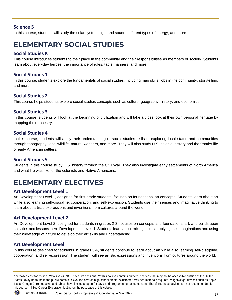#### **Science 5**

In this course, students will study the solar system, light and sound, different types of energy, and more.

## <span id="page-38-0"></span>**ELEMENTARY SOCIAL STUDIES**

#### **Social Studies K**

This course introduces students to their place in the community and their responsibilities as members of society. Students learn about everyday heroes, the importance of rules, table manners, and more.

#### **Social Studies 1**

In this course, students explore the fundamentals of social studies, including map skills, jobs in the community, storytelling, and more.

#### **Social Studies 2**

This course helps students explore social studies concepts such as culture, geography, history, and economics.

#### **Social Studies 3**

In this course, students will look at the beginning of civilization and will take a close look at their own personal heritage by mapping their ancestry.

#### **Social Studies 4**

In this course, students will apply their understanding of social studies skills to exploring local states and communities through topography, local wildlife, natural wonders, and more. They will also study U.S. colonial history and the frontier life of early American settlers.

#### **Social Studies 5**

Students in this course study U.S. history through the Civil War. They also investigate early settlements of North America and what life was like for the colonists and Native Americans.

## <span id="page-38-1"></span>**ELEMENTARY ELECTIVES**

#### **Art Development Level 1**

Art Development Level 1, designed for first grade students, focuses on foundational art concepts. Students learn about art while also learning self-discipline, cooperation, and self-expression. Students use their senses and imaginative thinking to learn about artistic expressions and inventions from cultures around the world.

#### **Art Development Level 2**

Art Development Level 2, designed for students in grades 2-3, focuses on concepts and foundational art, and builds upon activities and lessons in Art Development Level 1. Students learn about mixing colors, applying their imaginations and using their knowledge of nature to develop their art skills and understanding.

#### **Art Development Level**

In this course designed for students in grades 3-4, students continue to learn about art while also learning self-discipline, cooperation, and self-expression. The student will see artistic expressions and inventions from cultures around the world.

<sup>\*</sup>Increased cost for course. \*\*Course will NOT have live sessions. \*\*\*This course contains numerous videos that may not be accessible outside of the United States. §May be found in the public domain. §§Course awards high school credit. ‡Customer provided materials required. †Lightweight devices such as Apple iPads, Google Chromebooks, and tablets have limited support for Java and programming-based content. Therefore, these devices are not recommended for this course. ††See Career Exploration Listing on the past page of this catalog.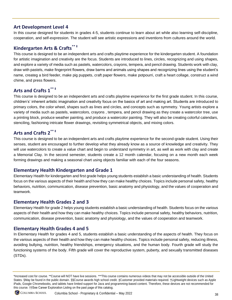#### **Art Development Level 4**

In this course designed for students in grades 4-5, students continue to learn about art while also learning self-discipline, cooperation, and self-expression. The student will see artistic expressions and inventions from cultures around the world.

## **Kindergarten Arts & Crafts\*\* ‡**

This course is designed to be an independent arts and crafts playtime experience for the kindergarten student. A foundation for artistic imagination and creativity are the focus. Students are introduced to lines, circles, recognizing and using shapes, and explore a variety of media such as pastels, watercolors, crayons, tempera, and pencil drawing. Students work with clay, draw with pastels, make fingerprint flowers, draw barns and animals using shapes and recognizing lines using the student's name, createg a bird feeder, make pig puppets, craft paper flowers, make potpourri, craft a heart collage, construct a wind chime, and press flowers.

## **Arts and Crafts 1\*\* ‡**

This course is designed to be an independent arts and crafts playtime experience for the first grade student. In this course, children's' inherent artistic imagination and creativity focus on the basics of art and making art. Students are introduced to primary colors, the color wheel, shapes such as lines and circles, and concepts such as symmetry. Young artists explore a variety of media such as pastels, watercolors, crayons , tempera, and pencil drawing as they create a watercolor tree, use a printing block, produce weather painting, and produce a watercolor painting. They will also be creating colorful calendars, stenciling, fashioning intricate flower drawings, revisiting symmetrical objects, and mixing colors.

### **Arts and Crafts 2\*\* ‡**

This course is designed to be an independent arts and crafts playtime experience for the second-grade student. Using their senses, student are encouraged to further develop what they already know as a source of knowledge and creativity. They will use watercolors to create a value chart and begin to understand symmetry in art, as well as work with clay and create a Memorial Clay. In the second semester, students create a 12 month calendar, focusing on a new month each week forming drawings and making a seasonal chart using objects familiar with each of the four seasons.

#### **Elementary Health Kindergarten and Grade 1**

Elementary Health for kindergarten and first grade helps young students establish a basic understanding of health. Students focus on the various aspects of their health and how they can make healthy choices. Topics include personal safety, healthy behaviors, nutrition, communication, disease prevention, basic anatomy and physiology, and the values of cooperation and teamwork.

#### **Elementary Health Grades 2 and 3**

Elementary Health for grade 2 helps young students establish a basic understanding of health. Students focus on the various aspects of their health and how they can make healthy choices. Topics include personal safety, healthy behaviors, nutrition, communication, disease prevention, basic anatomy and physiology, and the values of cooperation and teamwork.

#### **Elementary Health Grades 4 and 5**

In Elementary Health for grades 4 and 5, students establish a basic understanding of the aspects of health. They focus on the various aspects of their health and how they can make healthy choices. Topics include personal safety, reducing illness, avoiding bullying, nutrition, healthy friendships, emergency situations, and the human body. Fourth grade will study the functioning systems of the body. Fifth grade will cover the reproductive system, puberty, and sexually transmitted diseases (STDs).

<sup>\*</sup>Increased cost for course. \*\*Course will NOT have live sessions. \*\*\*This course contains numerous videos that may not be accessible outside of the United States. §May be found in the public domain. §§Course awards high school credit. ‡Customer provided materials required. †Lightweight devices such as Apple iPads, Google Chromebooks, and tablets have limited support for Java and programming-based content. Therefore, these devices are not recommended for this course. ††See Career Exploration Listing on the past page of this catalog.

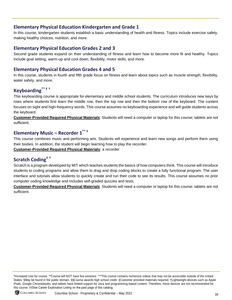#### **Elementary Physical Education Kindergarten and Grade 1**

In this course, kindergarten students establish a basic understanding of health and fitness. Topics include exercise safety, making healthy choices, nutrition, and more.

#### **Elementary Physical Education Grades 2 and 3**

Second grade students expand on their understanding of fitness and learn how to become more fit and healthy. Topics include goal setting, warm-up and cool down, flexibility, motor skills, and more.

#### **Elementary Physical Education Grades 4 and 5**

In this course, students in fourth and fifth grade focus on fitness and learn about topics such as muscle strength, flexibility, water safety, and more.

### **Keyboarding\*\* ‡ †**

This keyboarding course is appropriate for elementary and middle school students. The curriculum introduces new keys by rows where students first learn the middle row, then the top row and then the bottom row of the keyboard. The content focuses on sight and high-frequency words. This course assumes no keyboarding experience and will guide students across the keyboard.

**Customer-Provided Required Physical Materials**: Students will need a computer or laptop for this course; tablets are not sufficient.

## **Elementary Music – Recorder 1 \*\* ‡**

This course combines music and performing arts. Students will experience and learn new songs and perform them using their bodies. In addition, the student will begin learning how to play the recorder.

**Customer-Provided Required Physical Materials**: a recorder

## **Scratch Coding‡ †**

Scratch is a program developed by MIT which teaches students the basics of how computers think. This course will introduce students to coding programs and allow them to drag and drop coding blocks to create a fully functional program. The user interface and tutorials allow students to quickly create and run their code to see its results. This course assumes no prior computer coding knowledge and includes self-graded quizzes and tests.

**Customer-Provided Required Physical Materials**: Students will need a computer or laptop for this course; tablets are not sufficient.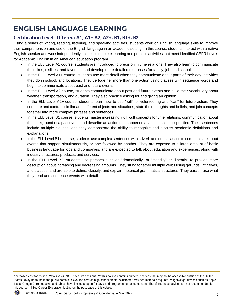## <span id="page-41-0"></span>**ENGLISH LANGUAGE LEARNING**

### **Certification Levels Offered: A1, A1+ A2, A2+, B1, B1+, B2**

Using a series of writing, reading, listening, and speaking activities, students work on English language skills to improve their comprehension and use of the English language in an academic setting. In this course, students interact with a native English speaker and work independently online to complete learning and practice activities that meet identified CEFR Levels for Academic English in an American education program.

- In the ELL Level A1 course, students are introduced to precision in time relations. They also learn to communicate their likes, dislikes, and favorites, and develop more detailed responses for family, job, and school.
- In the ELL Level A1+ course, students use more detail when they communicate about parts of their day, activities they do in school, and locations. They tie together more than one action using clauses with sequence words and begin to communicate about past and future events.
- In the ELL Level A2 course, students communicate about past and future events and build their vocabulary about weather, transportation, and duration. They also practice asking for and giving an opinion.
- In the ELL Level A2+ course, students learn how to use "will" for volunteering and "can" for future action. They compare and contrast similar and different objects and situations, state their thoughts and beliefs, and join concepts together into more complex phrases and sentences.
- In the ELL Level B1 course, students master increasingly difficult concepts for time relations, communication about the background of a past event, and describe an action that happened at a time that isn't specified. Their sentences include multiple clauses, and they demonstrate the ability to recognize and discuss academic definitions and explanations.
- In the ELL Level B1+ course, students use complex sentences with adverb and noun clauses to communicate about events that happen simultaneously, or one followed by another. They are exposed to a large amount of basic business language for jobs and companies, and are expected to talk about education and experiences, along with industry structures, products, and services.
- In the ELL Level B2, students use phrases such as "dramatically" or "steadily" or "linearly" to provide more description about increasing and decreasing amounts. They string together multiple verbs using gerunds, infinitives, and clauses, and are able to define, classify, and explain rhetorical grammatical structures. They paraphrase what they read and sequence events with detail.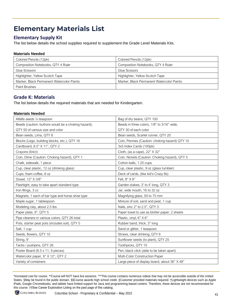## <span id="page-42-0"></span>**Elementary Materials List**

### <span id="page-42-1"></span>**Elementary Supply Kit**

The list below details the school supplies required to supplement the Grade Level Materials Kits.

#### **Materials Needed**

| Colored Pencils (12pk)                    | Colored Pencils (12pk)                    |
|-------------------------------------------|-------------------------------------------|
| Composition Notebooks, QTY 4 Ruler        | Composition Notebooks, QTY 4 Ruler        |
| Glue Scissors                             | Glue Scissors                             |
| Highlighter, Yellow Scotch Tape           | Highlighter, Yellow Scotch Tape           |
| Marker, Black Permanent Watercolor Paints | Marker, Black Permanent Watercolor Paints |
| <b>Paint Brushes</b>                      |                                           |

#### <span id="page-42-2"></span>**Grade K: Materials**

The list below details the required materials that are needed for Kindergarten.

#### **Materials Needed**

| Alfalfa seeds 1/2 teaspoon                          | Bag of dry beans, QTY 100                      |
|-----------------------------------------------------|------------------------------------------------|
| Beads (caution: buttons would be a choking hazard), | Beads in three colors, 1/8" to 3/16" wide,     |
| QTY 50 of various size and color                    | QTY 30 of each color                           |
| Bean seeds, Lima, QTY 8                             | Bean seeds, Scarlet runner, QTY 20             |
| Blocks (Lego, building blocks, etc.), QTY 16        | Coin, Pennies (Caution: choking hazard) QTY 10 |
| Cardboard, 8.5" X 11", QTY 2                        | 3x5 Index Cards (100pk)                        |
| Crayons (64ct)                                      | Cloth, (as a cape), 22" X 32"                  |
| Coin, Dime (Caution: Choking hazard), QTY 1         | Coin, Nickels (Caution: Choking hazard), QTY 5 |
| Chalk, sidewalk, 1 piece                            | Cotton balls, 1.25 cups                        |
| Cup, clear plastic, 12 oz (drinking glass)          | Cup, clear plastic, 9 oz (glass tumbler)       |
| Cups, foam coffee, 8 oz                             | Deck of cards, (like kid's Crazy 8s)           |
| Dowel, 12" X 3/8"                                   | Felt, 8" X 8"                                  |
| Flashlight, easy to take apart standard type        | Garden stakes, 3' to 4' long, QTY 3            |
| Iron filings, 3 cc                                  | Jar, wide mouth, 16 to 32 oz                   |
| Magnets, 1 each of bar type and horse shoe type     | Magnifying glass, 50 to 75 mm                  |
| Maple sugar, 1 tablespoon                           | Mixture of soil, sand and peat, 1 cup          |
| Modeling clay, about 2.5 lbs                        | Nails, zinc 2" to 2.5", QTY 3                  |
| Paper plate, 9", QTY 5                              | Paper towel to use as blotter paper, 2 sheets  |
| Pipe cleaners in various colors, QTY 26 total       | Plastic, vinyl, 6" X 6"                        |
| Pots, starter peat pots (includes soil), QTY 5      | Rubber band, thick, 3" long                    |
| Salt, 1 cup                                         | Sand or glitter, 1 teaspoon                    |
| Seeds, flowers, QTY 10                              | Straws, clear drinking, QTY 6                  |
| String, 9'                                          | Sunflower seeds (to plant), QTY 25             |
| Tacks / pushpins, QTY 26                            | Toothpicks, QTY 10                             |
| Poster Board (8.5 x 11, 9 pieces)                   | Pen, black click (able to be taken apart)      |
| Watercolor paper, 9" X 12", QTY 2                   | Multi-Color Construction Paper                 |
| Variety of containers                               | Large piece of display board, about 36" X 48"  |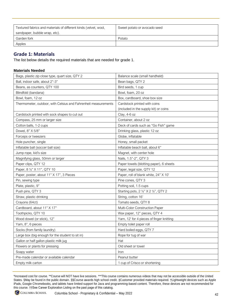| Textured fabrics and materials of different kinds (velvet, wool, | Sweet potato or avocado seed |
|------------------------------------------------------------------|------------------------------|
| sandpaper, bubble wrap, etc).                                    |                              |
| Garden fork                                                      | Potato                       |
| Apples                                                           |                              |

#### <span id="page-43-0"></span>**Grade 1: Materials**

The list below details the required materials that are needed for grade 1.

#### **Materials Needed**

| Bags, plastic zip close type, quart size, QTY 2                | Balance scale (small handheld)            |
|----------------------------------------------------------------|-------------------------------------------|
| Ball, indoor safe, about 2"-3"                                 | Bean bags, QTY 2                          |
| Beans, as counters, QTY 100                                    | Bird seeds, 1 cup                         |
| Blindfold (bandana)                                            | Bowl, foam, 20 oz                         |
| Bowl, foam, 12 oz                                              | Box, cardboard, shoe box size             |
| Thermometer, outdoor, with Celsius and Fahrenheit measurements | Cardstock printed with coins              |
|                                                                | (included in the supply kit) or coins     |
| Cardstock printed with sock shapes to cut out                  | Clay, 4-6 oz                              |
| Compass, 25 mm or larger size                                  | Container, about 2 oz                     |
| Cotton balls, 1-2 cups                                         | Deck of cards such as "Go Fish" game      |
| Dowel, 8" X 5/8"                                               | Drinking glass, plastic 12 oz             |
| Forceps or tweezers                                            | Globe, inflatable                         |
| Hole puncher, single                                           | Honey, small packet                       |
| Inflatable ball (soccer ball size)                             | Inflatable beach ball, about 6"           |
| Jump rope, kid's size                                          | Magnet, with center hole                  |
| Magnifying glass, 50mm or larger                               | Nails, 1.5"-2", QTY 3                     |
| Paper clips, QTY 12                                            | Paper towels (blotting paper), 6 sheets   |
| Paper, 8 1/2" X 11", QTY 10                                    | Paper, legal size, QTY 12                 |
| Paper, poster, about 11" X 17", 3 Pieces                       | Paper, roll of blank white, 24" X 10'     |
| Pin, sewing type                                               | Pine cones, QTY 3                         |
| Plate, plastic, 9"                                             | Potting soil, 1.5 cups                    |
| Push pins, QTY 3                                               | Starting pots, 2 1/2" X 2 1/2", QTY 2     |
| Straw, plastic drinking                                        | String, cotton 16'                        |
| Crayons (64ct)                                                 | Tomato seeds, QTY 8                       |
| Cardboard, about 11" X 17"                                     | Multi-Color Construction Paper            |
| Toothpicks, QTY 10                                             | Wax paper, 12" pieces, QTY 4              |
| Wood dowel (or stick), 12"                                     | Yarn, 12' for 4 pieces of finger knitting |
| Yarn, 8", 6 pieces                                             | Empty toilet paper roll                   |
| Socks (from family laundry)                                    | Hard boiled eggs, QTY 7                   |
| Large box (big enough for the student to sit in)               | Rope for tug of war                       |
| Gallon or half gallon plastic milk jug                         | Hat                                       |
| Flowers or plants for pressing                                 | Old sheet or towel                        |
| Soapy water                                                    | Iron                                      |
| Pre-made calendar or available calendar                        | Peanut butter                             |
| Empty milk carton                                              |                                           |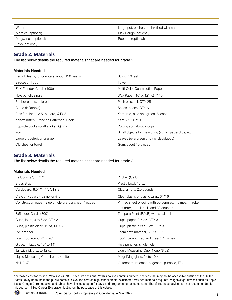| Water                | Large pot, pitcher, or sink filled with water |
|----------------------|-----------------------------------------------|
| Marbles (optional)   | Play Dough (optional)                         |
| Magazines (optional) | Popcorn (optional)                            |
| Toys (optional)      |                                               |

#### <span id="page-44-0"></span>**Grade 2: Materials**

The list below details the required materials that are needed for grade 2.

#### **Materials Needed**

| Bag of Beans, for counters, about 130 beans | String, 13 feet                                        |
|---------------------------------------------|--------------------------------------------------------|
| Birdseed, 1 cup                             | Towel                                                  |
| 3" X 5" Index Cards (100pk)                 | <b>Multi-Color Construction Paper</b>                  |
| Hole punch, single                          | Wax Paper, 10" X 12", QTY 10                           |
| Rubber bands, colored                       | Push pins, tall, QTY 25                                |
| Globe (inflatable)                          | Seeds, beans, QTY 6                                    |
| Pots for plants, 2.5" square, QTY 3         | Yarn, red, blue and green, 8' each                     |
| KoKo's Kitten (Francine Patterson) Book     | Yarn, 8", QTY 9                                        |
| Popsicle Sticks (craft sticks), QTY 2       | Potting soil, about 2 cups                             |
| Iron                                        | Small objects for measuring (string, paperclips, etc.) |
| Large grapefruit or orange                  | Leaves (evergreen and / or deciduous)                  |
| Old sheet or towel                          | Gum, about 10 pieces                                   |

#### <span id="page-44-1"></span>**Grade 3: Materials**

The list below details the required materials that are needed for grade 3.

#### **Materials Needed**

| Balloons, 9", QTY 2                                  | Pitcher (Gallon)                                           |
|------------------------------------------------------|------------------------------------------------------------|
| Brass Brad                                           | Plastic bowl, 12 oz                                        |
| Cardboard, 8.5" X 11", QTY 3                         | Clay, air dry, 2.5 pounds                                  |
| Clay, any color, 4 oz nondrying                      | Clear plastic or plastic wrap, 6" X 6"                     |
| Construction paper, Blue 3 hole pre-punched, 7 pages | Printed sheet of coins with 50 pennies, 4 dimes, 1 nickel, |
|                                                      | 1 quarter, 1 dollar bill, and 30 counters                  |
| 3x5 Index Cards (300)                                | Tempera Paint (R, Y, B) with small roller                  |
| Cups, foam, 3 to 6 oz, QTY 2                         | Cups, paper, 3-5 oz, QTY 3                                 |
| Cups, plastic clear, 12 oz, QTY 2                    | Cups, plastic clear, 9 oz, QTY 3                           |
| Eye dropper                                          | Foam craft material, 8.5" X 11"                            |
| Foam rod, round $\frac{1}{2}$ " X 20"                | Food coloring (red and green), 5 mL each                   |
| Globe, inflatable, 10" to 14"                        | Hole puncher, single hole                                  |
| Jar with lid, 6 oz to 12 oz                          | Liquid Measuring Cup, 1 cup (8 oz)                         |
| Liquid Measuring Cup, 4 cups / 1 liter               | Magnifying glass, 2x to 10 x                               |
| Nail, 2 1/2"                                         | Outdoor thermometer / general purpose, F/C                 |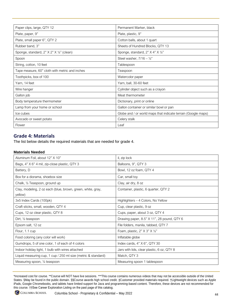| Paper clips, large, QTY 12                     | Permanent Marker, black                                       |
|------------------------------------------------|---------------------------------------------------------------|
| Plate, paper, 9"                               | Plate, plastic, 9"                                            |
| Plate, small paper 6", QTY 2                   | Cotton balls, about 1 quart                                   |
| Rubber band, 3"                                | Sheets of Hundred Blocks, QTY 13                              |
| Sponge, standard, 2" X 2" X 1/2" (clean)       | Sponge, standard, 2" X 4" X 1/2"                              |
| Spoon                                          | Steel washer, $7/16 - \frac{1}{2}$ "                          |
| String, cotton, 10 feet                        | Tablespoon                                                    |
| Tape measure, 60" cloth with metric and inches | Teaspoon                                                      |
| Toothpicks, box of 100                         | Watercolor paper                                              |
| Yarn, 14 feet                                  | Yarn, ball, 30-60 feet                                        |
| Wire hanger                                    | Cylinder object such as a crayon                              |
| Gallon job                                     | Meat thermometer                                              |
| Body temperature thermometer                   | Dictionary, print or online                                   |
| Lamp from your home or school                  | Gallon container or similar bowl or pan                       |
| Ice cubes                                      | Globe and / or world maps that indicate terrain (Google maps) |
| Avocado or sweet potato                        | Celery stalk                                                  |
| Flower                                         | Leaf                                                          |

#### <span id="page-45-0"></span>**Grade 4: Materials**

The list below details the required materials that are needed for grade 4.

#### **Materials Needed**

| Aluminum Foil, about 12" X 10"                                         | il, zip lock                                 |
|------------------------------------------------------------------------|----------------------------------------------|
| Bags, 4" X 6" 4 mil, zip-close plastic, QTY 3                          | Balloons, 9", QTY 3                          |
| Battery, D                                                             | Bowl, 12 oz foam, QTY 4                      |
| Box for a diorama, shoebox size                                        | Car, small toy                               |
| Chalk, 1/2 Teaspoon, ground up                                         | Clay, air dry, 8 oz                          |
| Clay, modeling, 2 oz each (blue, brown, green, white, gray,<br>yellow) | Container, plastic, 6 quarter, QTY 2         |
| 3x5 Index Cards (100pk)                                                | Highlighters – 4 Colors, No Yellow           |
| Craft sticks, small, wooden, QTY 4                                     | Cup, clear plastic, 9 oz                     |
| Cups, 12 oz clear plastic, QTY 8                                       | Cups, paper, about 3 oz, QTY 4               |
| Dirt, 1/ <sub>2</sub> teaspoon                                         | Drawing paper, 8.5" X 11", 28 pound, QTY 6   |
| Epsom salt, 12 oz                                                      | File folders, manila, tabbed, QTY 7          |
| Flour, 1.1 cup                                                         | Foam, plastic, 2" $X$ 3" $X$ $\frac{1}{2}$ " |
| Food coloring (any color will work)                                    | Inflatable globe                             |
| Gumdrops, 5 of one color, 1 of each of 4 colors                        | Index cards, $4"$ $\times$ $6"$ , QTY 30     |
| Indoor holiday light, 1 bulb with wires attached                       | Jars with lids, clear plastic, 6 oz, QTY 8   |
| Liquid measuring cup, 1 cup / 250 ml size (metric & standard)          | Match, QTY 3                                 |
| Measuring spoon, 1/2 teaspoon                                          | Measuring spoon 1 tablespoon                 |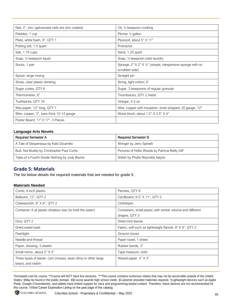| Nail, 3", zinc (galvanized nails are zinc coated) | Oil, $\frac{1}{2}$ teaspoon cooking                        |
|---------------------------------------------------|------------------------------------------------------------|
| Pebbles, 1 cup                                    | Pitcher 1/2 gallon                                         |
| Plate, white foam, 9", QTY 1                      | Plywood, about 5" X 11"                                    |
| Potting soil, 1.5 quart                           | Protractor                                                 |
| Salt, 1.75 cups                                   | Sand, 1.25 quart                                           |
| Soap, 1/2 teaspoon liquid                         | Soap, 1/2 teaspoon solid laundry                           |
| Socks, 1 pair                                     | Sponge, 2" X 2" X 1/2" (simple, inexpensive sponge with no |
|                                                   | scrubber side)                                             |
| Spoon, large mixing                               | Straight pin                                               |
| Straw, clear plastic drinking                     | String, light cotton, 6'                                   |
| Sugar cubes, QTY 6                                | Sugar, 3 teaspoons of regular granular                     |
| Thermometer, 6"                                   | Thumbtacks, QTY 2 metal                                    |
| Toothpicks, QTY 16                                | Vinegar, 4.2 oz                                            |
| Wax paper, 12" long, QTY 7                        | Wire, copper with insulation, ends stripped, 20 gauge, 12" |
| Wire, copper, 3", bare thick 10-14 gauge          | Wood block, about 1.5" X 3.5" X 4"                         |
| Poster Board, 11" X 17", 3 Pieces                 |                                                            |

#### **Language Arts Novels**

| <b>Required Semester A</b>                    | <b>Required Semester B</b>                       |
|-----------------------------------------------|--------------------------------------------------|
| A Tale of Despereaux by Kate Dicamillo        | Wringer by Jerry Spinelli                        |
| Bud, Not Buddy by Christopher Paul Curtis     | Pictures of Hollis Woods by Patricia Reilly Giff |
| Tales of a Fourth Grade Nothing by Judy Blume | Shiloh by Phyllis Reynolds Naylor                |

#### <span id="page-46-0"></span>**Grade 5: Materials**

The list below details the required materials that are needed for grade 5.

#### **Materials Needed**

| Comb, 4-inch plastic                                                               | Pennies, QTY 8                                                               |
|------------------------------------------------------------------------------------|------------------------------------------------------------------------------|
| Balloons, 12", QTY 2                                                               | Cardboard, 8.5" X 11", QTY 2                                                 |
| Cheesecloth, 8" X 8", QTY 2                                                        | Clothespin                                                                   |
| Container, 6 qt plastic shoebox size (to hold the water)                           | Containers, small plastic with similar volume and different<br>shapes, QTY 3 |
| Dice, QTY 2                                                                        | Dried mint leaves                                                            |
| Dried sweet basil                                                                  | Fabric, soft such as lightweight flannel, 9" X 9", QTY 2                     |
| Flashlight                                                                         | Ground cloves                                                                |
| Needle and thread                                                                  | Paper towel, 1 sheet                                                         |
| Paper, drawing, 3 sheets                                                           | Rubber bands, 3"                                                             |
| Small mirror, about 2" X 3"                                                        | Tape measure, cloth                                                          |
| Three types of seeds: corn (maize), bean (lima or other large<br>bean), and radish | Waxed paper, 4" X 3"                                                         |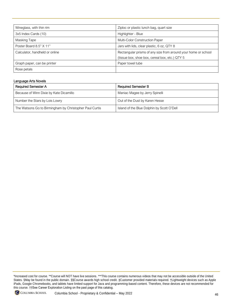| Wineglass, with thin rim       | Ziploc or plastic lunch bag, quart size                        |
|--------------------------------|----------------------------------------------------------------|
| 3x5 Index Cards (10)           | Highlighter - Blue                                             |
| Masking Tape                   | <b>Multi-Color Construction Paper</b>                          |
| Poster Board 8.5" X 11"        | Jars with lids, clear plastic, 6 oz, QTY 8                     |
| Calculator, handheld or online | Rectangular prisms of any size from around your home or school |
|                                | (tissue box, shoe box, cereal box, etc.) QTY 5                 |
| Graph paper, can be printer    | Paper towel tube                                               |
| Rose petals                    |                                                                |

#### Language Arts Novels

<span id="page-47-0"></span>

| <b>Required Semester A</b>                              | <b>Required Semester B</b>                 |
|---------------------------------------------------------|--------------------------------------------|
| Because of Winn Dixie by Kate Dicamillo                 | Maniac Magee by Jerry Spinelli             |
| Number the Stars by Lois Lowry                          | Out of the Dust by Karen Hesse             |
| The Watsons Go to Birmingham by Christopher Paul Curtis | Island of the Blue Dolphin by Scott O'Dell |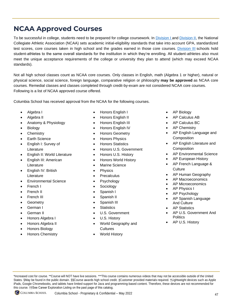## **NCAA Approved Courses**

To be successful in college, students need to be prepared for college coursework. In [Division I](https://www.ncaa.org/student-athletes/play-division-i-sports) and [Division II,](https://www.ncaa.org/student-athletes/play-division-ii-sports) the National Collegiate Athletic Association (NCAA) sets academic initial-eligibility standards that take into account GPA, standardized test scores, core courses taken in high school and the grades earned in those core courses. [Division III](https://www.ncaa.org/student-athletes/play-division-iii-sports) schools hold student-athletes to the same overall standards for the institution in which they're enrolling. All student-athletes also must meet the unique acceptance requirements of the college or university they plan to attend (which may exceed NCAA standards).

Not all high school classes count as NCAA core courses. Only classes in English, math (Algebra 1 or higher), natural or physical science, social science, foreign language, comparative religion or philosophy **may be approved** as NCAA core courses. Remedial classes and classes completed through credit-by-exam are not considered NCAA core courses. Following is a list of NCAA approved course offered.

Columbia School has received approval from the NCAA for the following courses.

- Algebra I
- Algebra II
- Anatomy & Physiology
- **Biology**
- **Chemistry**
- Earth Science
- English I: Survey of **Literature**
- English II: World Literature
- English III: American **Literature**
- English IV: British Literature
- Environmental Science
- French I
- French II
- **French III**
- **Geometry**
- German I
- German II
- Honors Algebra I
- Honors Algebra II
- Honors Biology
- <span id="page-48-0"></span>• Honors Chemistry
- Honors English I
- Honors English II
- Honors English III
- Honors English IV
- Honors Geometry
- Honors Physics
- Honors Statistics
- Honors U.S. Government
- Honors U.S. History
- Honors World History
- Marine Science
- **Physics**
- **Precalculus**
- **Psychology**
- Sociology
- Spanish I
- Spanish II
- Spanish III
- **Statistics**
- U.S. Government

• World Geography and

- U.S. History
- **Cultures**
- World History
- AP Biology
- AP Calculus AB
- AP Calculus BC
- **AP Chemistry**
- AP English Language and Composition
- AP English Literature and **Composition**
- AP Environmental Science
- AP European History
- AP French Language & **Culture**
- AP Human Geography
- AP Macroeconomics
- AP Microeconomics
- **AP Physics I**
- AP Psychology
- AP Spanish Language And Culture
- AP Statistics
- AP U.S. Government And **Politics**
- AP U.S. History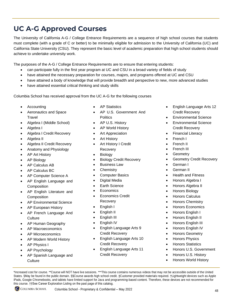## **UC A-G Approved Courses**

The University of California A-G / College Entrance Requirements are a sequence of high school courses that students must complete (with a grade of C or better) to be minimally eligible for admission to the University of California (UC) and California State University (CSU). They represent the basic level of academic preparation that high school students should achieve to undertake university work.

The purposes of the A-G / College Entrance Requirements are to ensure that entering students:

- can participate fully in the first year program at UC and CSU in a broad variety of fields of study
- have attained the necessary preparation for courses, majors, and programs offered at UC and CSU
- have attained a body of knowledge that will provide breadth and perspective to new, more advanced studies
- have attained essential critical thinking and study skills

Columbia School has received approval from the UC A-G for the following courses

- Accounting
- Aeronautics and Space **Travel**
- Algebra I (Middle School)
- Algebra I
- Algebra I Credit Recovery
- Algebra II
- Algebra II Credit Recovery
- Anatomy and Physiology
- **AP Art History**
- AP Biology
- AP Calculus AB
- AP Calculus BC
- AP Computer Science A
- AP English Language and **Composition**
- AP English Literature and **Composition**
- AP Environmental Science
- AP European History
- AP French Language And **Culture**
- AP Human Geography
- AP Macroeconomics
- AP Microeconomics
- AP Modern World History
- AP Physics I
- AP Psychology
- AP Spanish Language and **Culture**
- AP Statistics
- AP U.S. Government And **Politics**
- AP U.S. History
- AP World History
- Art Appreciation
- Art History
- **Art History I Credit** Recovery
- Biology
- **Biology Credit Recovery**
- **Business Law**
- **Chemistry**
- Computer Basics
- Digital Media
- **Earth Science**
- **Economics**
- **Economics Credit** Recovery
- English I
- English II
- English III
- English IV
- English Language Arts 9 Credit Recovery
- English Language Arts 10 Credit Recovery
- English Language Arts 11 Credit Recovery

- English Language Arts 12 Credit Recovery
- Environmental Science
- Environmental Science Credit Recovery
- Financial Literacy
- French I
- French II
- French III
- **Geometry**
- Geometry Credit Recovery
- German I
- German II
- Health and Fitness
- Honors Algebra I
- Honors Algebra II
- Honors Biology
- Honors Calculus
- Honors Chemistry
- Honors Economics
- Honors English I
- Honors English II
- Honors English III
- Honors English IV
- Honors Geometry
- Honors Physics
- Honors Statistics
- Honors U.S. Government
- Honors U.S. History
- Honors World History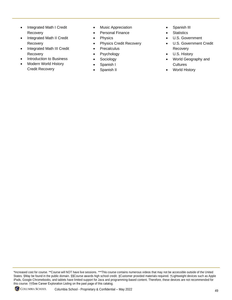- Integrated Math I Credit Recovery
- Integrated Math II Credit Recovery
- Integrated Math III Credit Recovery
- Introduction to Business
- Modern World History Credit Recovery
- Music Appreciation
- Personal Finance
- **Physics**
- Physics Credit Recovery
- **Precalculus**
- **Psychology**
- **Sociology**
- Spanish I
- Spanish II
- Spanish III
- **Statistics**
- U.S. Government
- U.S. Government Credit Recovery
- U.S. History
- World Geography and **Cultures**
- World History

<sup>\*</sup>Increased cost for course. \*\*Course will NOT have live sessions. \*\*\*This course contains numerous videos that may not be accessible outside of the United States. §May be found in the public domain. §§Course awards high school credit. ‡Customer provided materials required. †Lightweight devices such as Apple iPads, Google Chromebooks, and tablets have limited support for Java and programming-based content. Therefore, these devices are not recommended for this course. ††See Career Exploration Listing on the past page of this catalog.